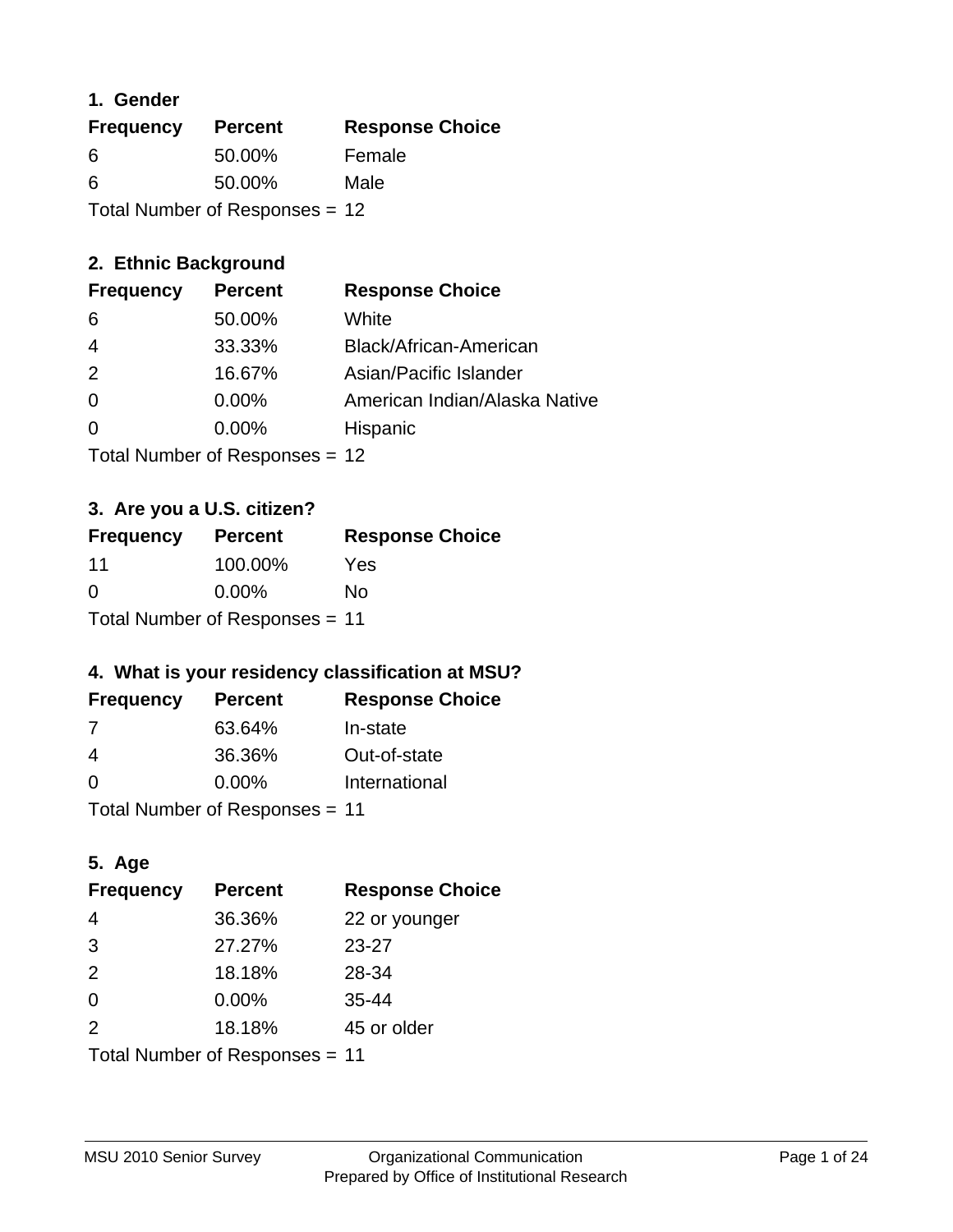# **1. Gender**

| <b>Frequency</b>               | <b>Percent</b> | <b>Response Choice</b> |
|--------------------------------|----------------|------------------------|
| 6                              | 50.00%         | Female                 |
| 6                              | 50.00%         | Male                   |
| Total Number of Responses = 12 |                |                        |

# **2. Ethnic Background**

| <b>Frequency</b> | <b>Percent</b> | <b>Response Choice</b>        |
|------------------|----------------|-------------------------------|
| -6               | 50.00%         | White                         |
| 4                | 33.33%         | Black/African-American        |
| -2               | 16.67%         | Asian/Pacific Islander        |
| $\Omega$         | $0.00\%$       | American Indian/Alaska Native |
|                  | $0.00\%$       | Hispanic                      |
|                  |                |                               |

Total Number of Responses = 12

# **3. Are you a U.S. citizen?**

| <b>Frequency</b>               | <b>Percent</b> | <b>Response Choice</b> |
|--------------------------------|----------------|------------------------|
| 11                             | 100.00%        | Yes                    |
| $\Omega$                       | $0.00\%$       | Nο                     |
| Total Number of Responses = 11 |                |                        |

# **4. What is your residency classification at MSU?**

| <b>Frequency</b> | <b>Percent</b> | <b>Response Choice</b> |
|------------------|----------------|------------------------|
| 7                | 63.64%         | In-state               |
| 4                | 36.36%         | Out-of-state           |
| $\Omega$         | $0.00\%$       | International          |
|                  |                |                        |

Total Number of Responses = 11

# **5. Age**

| <b>Frequency</b>               | <b>Percent</b> | <b>Response Choice</b> |
|--------------------------------|----------------|------------------------|
| $\overline{4}$                 | 36.36%         | 22 or younger          |
| 3                              | 27.27%         | $23 - 27$              |
| 2                              | 18.18%         | 28-34                  |
| $\Omega$                       | $0.00\%$       | $35 - 44$              |
| 2                              | 18.18%         | 45 or older            |
| Total Number of Responses = 11 |                |                        |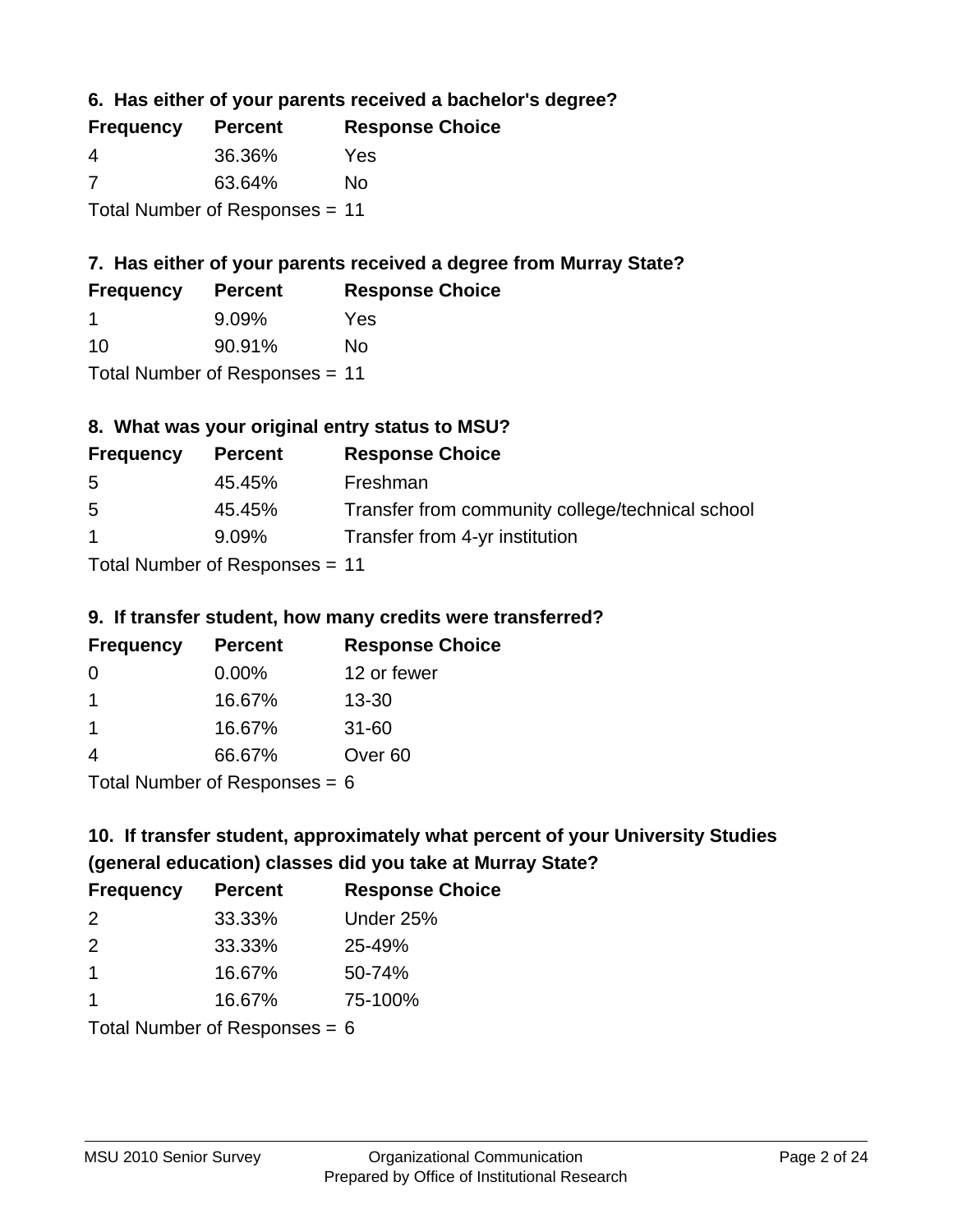**6. Has either of your parents received a bachelor's degree?**

| <b>Frequency</b>               | <b>Percent</b> | <b>Response Choice</b> |
|--------------------------------|----------------|------------------------|
| -4                             | 36.36%         | Yes                    |
| -7                             | 63.64%         | No                     |
| Total Number of Responses = 11 |                |                        |

# **7. Has either of your parents received a degree from Murray State?**

| <b>Frequency</b> | <b>Percent</b> | <b>Response Choice</b> |
|------------------|----------------|------------------------|
|                  | 9.09%          | Yes                    |
| -10              | 90.91%         | No                     |

Total Number of Responses = 11

# **8. What was your original entry status to MSU?**

| <b>Frequency</b>                | <b>Percent</b> | <b>Response Choice</b>                           |
|---------------------------------|----------------|--------------------------------------------------|
| 5                               | 45.45%         | Freshman                                         |
| 5                               | 45.45%         | Transfer from community college/technical school |
| $\mathbf 1$                     | 9.09%          | Transfer from 4-yr institution                   |
| $Total Number of Doeponee = 11$ |                |                                                  |

Total Number of Responses = 11

# **9. If transfer student, how many credits were transferred?**

| <b>Frequency</b>           | <b>Percent</b> | <b>Response Choice</b> |
|----------------------------|----------------|------------------------|
| -0                         | $0.00\%$       | 12 or fewer            |
|                            | 16.67%         | $13 - 30$              |
| -1                         | 16.67%         | $31 - 60$              |
|                            | 66.67%         | Over <sub>60</sub>     |
| Total Number of Deepersoon |                |                        |

Total Number of Responses = 6

# **10. If transfer student, approximately what percent of your University Studies (general education) classes did you take at Murray State?**

| <b>Frequency</b>                | <b>Percent</b> | <b>Response Choice</b> |
|---------------------------------|----------------|------------------------|
| 2                               | 33.33%         | Under 25%              |
| 2                               | 33.33%         | 25-49%                 |
| $\mathbf 1$                     | 16.67%         | 50-74%                 |
| $\mathbf 1$                     | 16.67%         | 75-100%                |
| Total Number of Responses = $6$ |                |                        |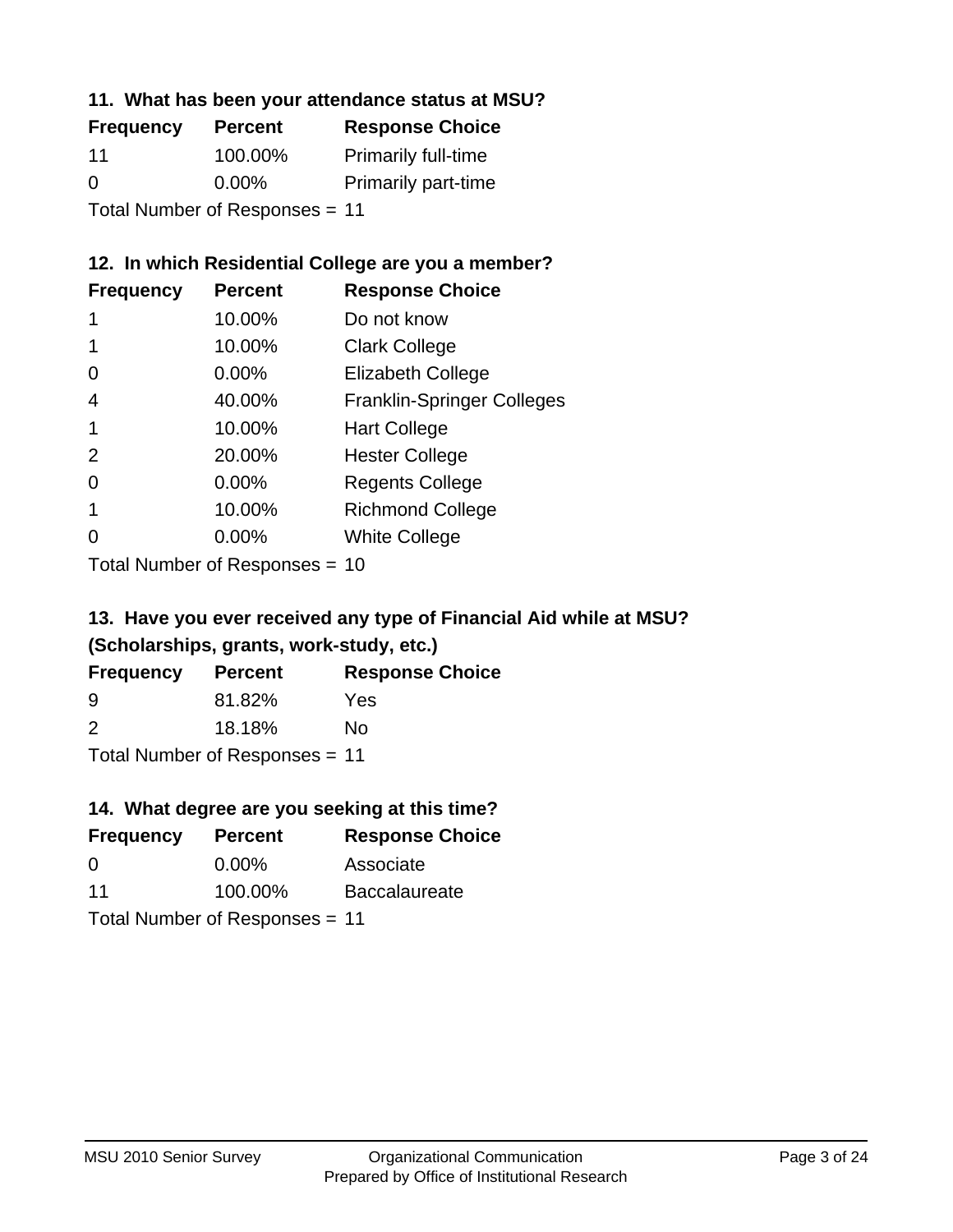# **11. What has been your attendance status at MSU?**

| <b>Frequency</b>               | <b>Percent</b> | <b>Response Choice</b>     |
|--------------------------------|----------------|----------------------------|
| 11                             | 100.00%        | <b>Primarily full-time</b> |
| $\Omega$                       | $0.00\%$       | <b>Primarily part-time</b> |
| Total Number of Responses = 11 |                |                            |

# **12. In which Residential College are you a member?**

| <b>Frequency</b> | <b>Percent</b> | <b>Response Choice</b>            |
|------------------|----------------|-----------------------------------|
| 1                | 10.00%         | Do not know                       |
|                  | 10.00%         | <b>Clark College</b>              |
| 0                | 0.00%          | <b>Elizabeth College</b>          |
| 4                | 40.00%         | <b>Franklin-Springer Colleges</b> |
|                  | 10.00%         | <b>Hart College</b>               |
| 2                | 20.00%         | <b>Hester College</b>             |
| 0                | 0.00%          | <b>Regents College</b>            |
|                  | 10.00%         | <b>Richmond College</b>           |
|                  | 0.00%          | <b>White College</b>              |
|                  |                |                                   |

Total Number of Responses = 10

# **13. Have you ever received any type of Financial Aid while at MSU? (Scholarships, grants, work-study, etc.)**

| <b>Frequency</b> | <b>Percent</b>                 | <b>Response Choice</b> |
|------------------|--------------------------------|------------------------|
| 9                | 81.82%                         | Yes                    |
| $\mathcal{P}$    | 18.18%                         | Nο                     |
|                  | Total Number of Responses = 11 |                        |

# **14. What degree are you seeking at this time?**

| <b>Frequency</b> | <b>Percent</b>                 | <b>Response Choice</b> |
|------------------|--------------------------------|------------------------|
| $\Omega$         | $0.00\%$                       | Associate              |
| 11               | 100.00%                        | <b>Baccalaureate</b>   |
|                  | Total Number of Responses = 11 |                        |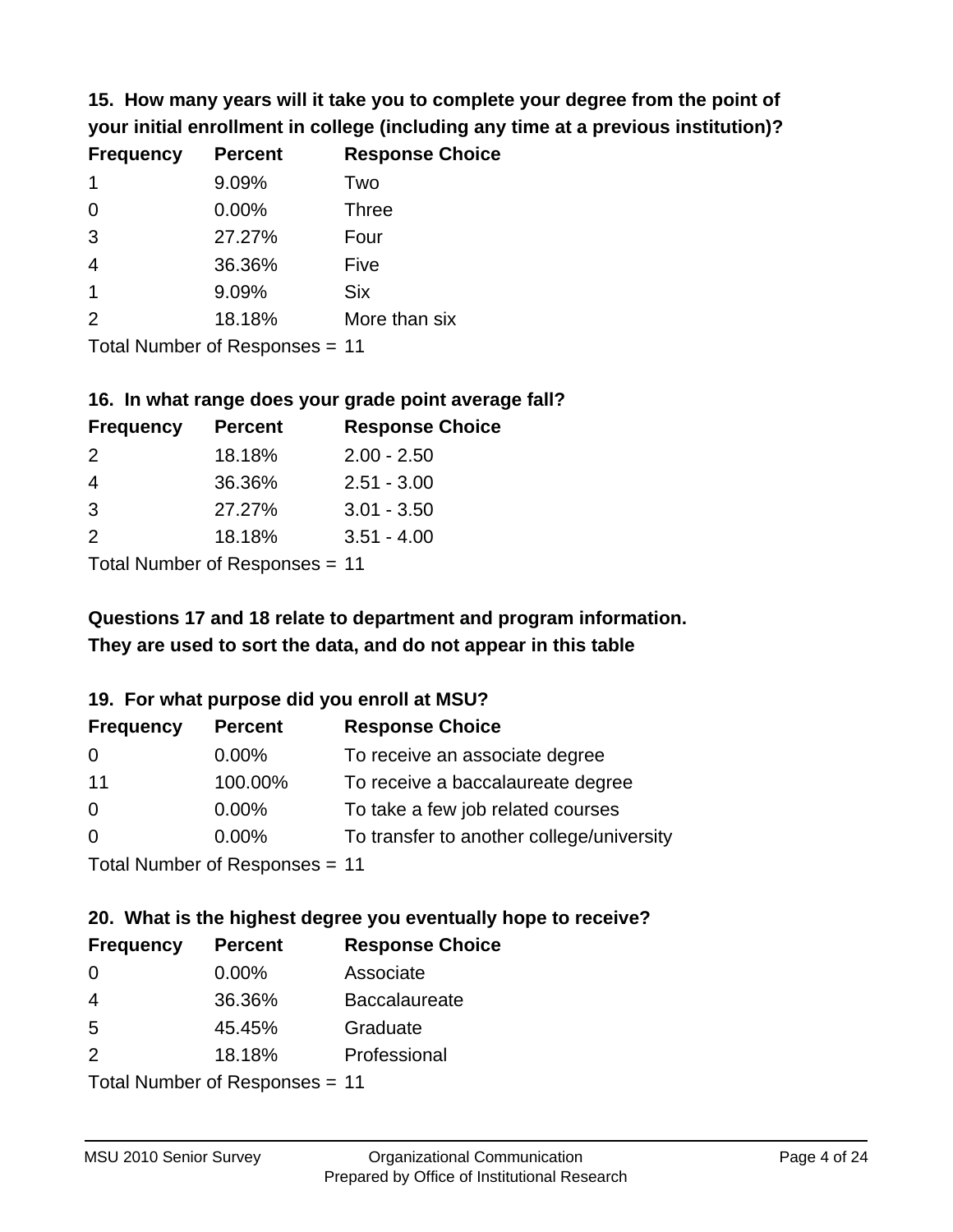**15. How many years will it take you to complete your degree from the point of your initial enrollment in college (including any time at a previous institution)?**

| <b>Frequency</b> | <b>Percent</b> | <b>Response Choice</b> |
|------------------|----------------|------------------------|
| 1                | 9.09%          | Two                    |
| $\Omega$         | 0.00%          | <b>Three</b>           |
| 3                | 27.27%         | Four                   |
| $\overline{4}$   | 36.36%         | Five                   |
| $\mathbf 1$      | 9.09%          | <b>Six</b>             |
| 2                | 18.18%         | More than six          |
|                  |                |                        |

Total Number of Responses = 11

#### **16. In what range does your grade point average fall?**

| <b>Frequency</b> | <b>Percent</b> | <b>Response Choice</b> |
|------------------|----------------|------------------------|
| $\mathcal{P}$    | 18.18%         | $2.00 - 2.50$          |
| 4                | 36.36%         | $2.51 - 3.00$          |
| $\mathbf{3}$     | 27.27%         | $3.01 - 3.50$          |
| $\mathcal{P}$    | 18.18%         | $3.51 - 4.00$          |
|                  |                |                        |

Total Number of Responses = 11

# **They are used to sort the data, and do not appear in this table Questions 17 and 18 relate to department and program information.**

### **19. For what purpose did you enroll at MSU?**

| <b>Frequency</b> | <b>Percent</b>                 | <b>Response Choice</b>                    |
|------------------|--------------------------------|-------------------------------------------|
| -0               | $0.00\%$                       | To receive an associate degree            |
| 11               | 100.00%                        | To receive a baccalaureate degree         |
| -0               | $0.00\%$                       | To take a few job related courses         |
| $\overline{0}$   | $0.00\%$                       | To transfer to another college/university |
|                  | Total Number of Reconcese - 11 |                                           |

Total Number of Responses = 11

# **20. What is the highest degree you eventually hope to receive?**

| <b>Frequency</b> | <b>Percent</b>             | <b>Response Choice</b> |
|------------------|----------------------------|------------------------|
| 0                | 0.00%                      | Associate              |
| 4                | 36.36%                     | <b>Baccalaureate</b>   |
| 5                | 45.45%                     | Graduate               |
| 2                | 18.18%                     | Professional           |
|                  | Tatal Number of Desperance |                        |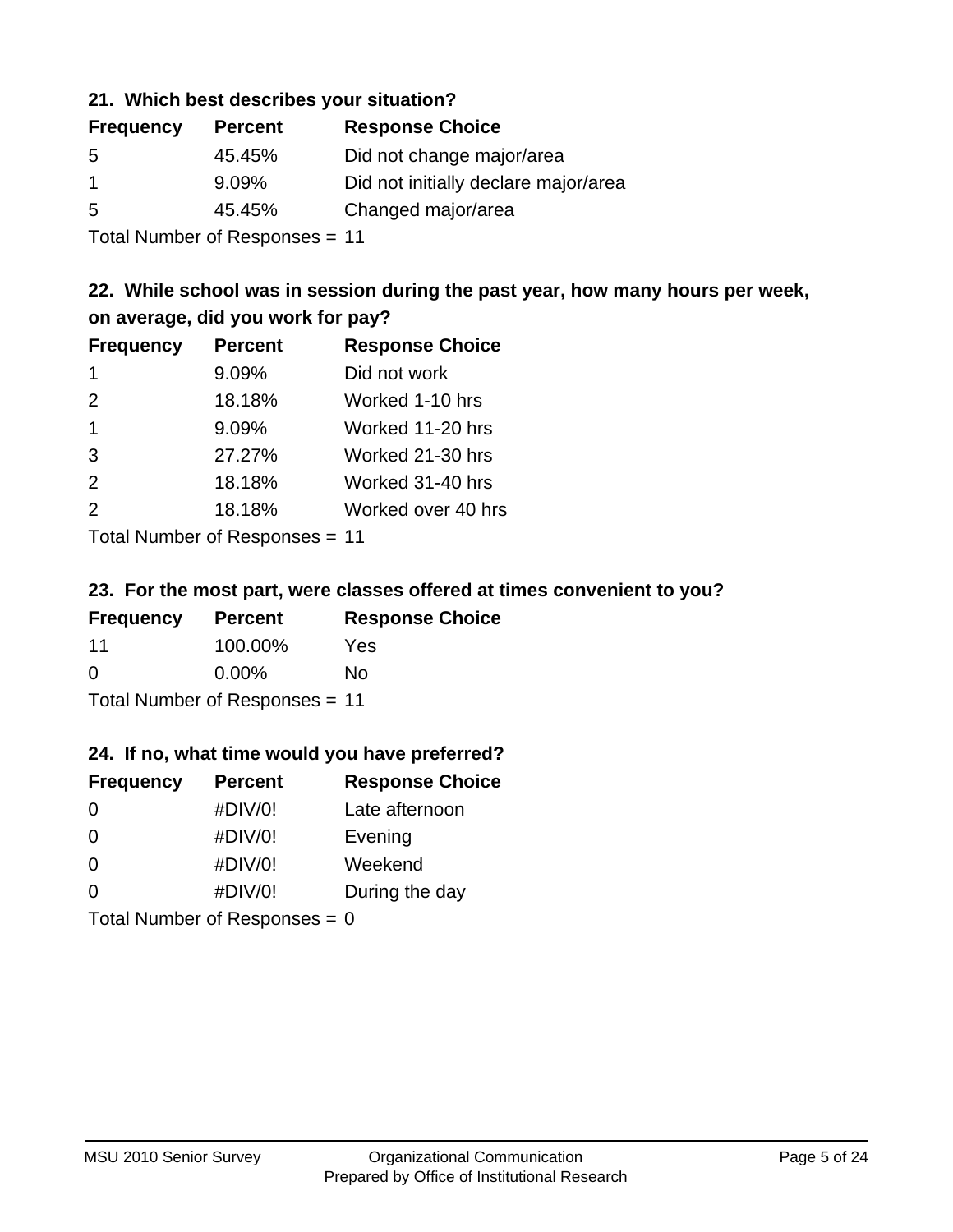# **21. Which best describes your situation?**

| <b>Frequency</b> | <b>Percent</b> | <b>Response Choice</b>               |
|------------------|----------------|--------------------------------------|
| -5               | 45.45%         | Did not change major/area            |
|                  | $9.09\%$       | Did not initially declare major/area |
| -5               | 45.45%         | Changed major/area                   |
|                  |                |                                      |

Total Number of Responses = 11

# **22. While school was in session during the past year, how many hours per week, on average, did you work for pay?**

| <b>Frequency</b> | <b>Percent</b> | <b>Response Choice</b> |
|------------------|----------------|------------------------|
| -1               | 9.09%          | Did not work           |
| 2                | 18.18%         | Worked 1-10 hrs        |
| $\overline{1}$   | 9.09%          | Worked 11-20 hrs       |
| 3                | 27.27%         | Worked 21-30 hrs       |
| 2                | 18.18%         | Worked 31-40 hrs       |
| 2                | 18.18%         | Worked over 40 hrs     |
|                  |                |                        |

Total Number of Responses = 11

### **23. For the most part, were classes offered at times convenient to you?**

| <b>Frequency</b>               | <b>Percent</b> | <b>Response Choice</b> |
|--------------------------------|----------------|------------------------|
| 11                             | 100.00%        | Yes                    |
| $\Omega$                       | $0.00\%$       | Nο                     |
| Total Number of Responses = 11 |                |                        |

### **24. If no, what time would you have preferred?**

| <b>Frequency</b>                | <b>Percent</b> | <b>Response Choice</b> |
|---------------------------------|----------------|------------------------|
| $\Omega$                        | #DIV/0!        | Late afternoon         |
| $\Omega$                        | #DIV/0!        | Evening                |
| $\Omega$                        | #DIV/0!        | Weekend                |
| $\Omega$                        | #DIV/0!        | During the day         |
| Total Number of Responses = $0$ |                |                        |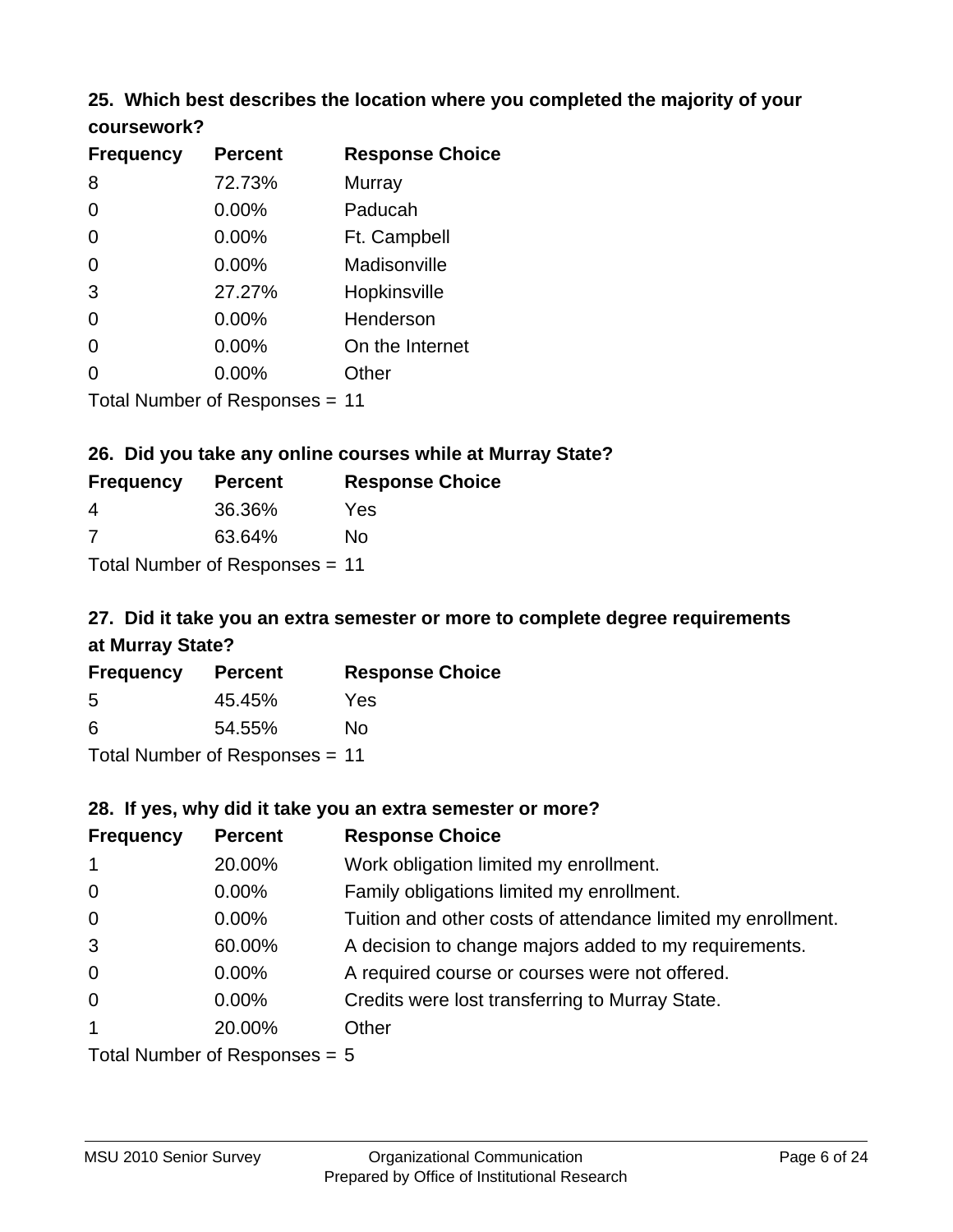# **25. Which best describes the location where you completed the majority of your coursework?**

| <b>Frequency</b> | <b>Percent</b>                 | <b>Response Choice</b> |
|------------------|--------------------------------|------------------------|
| 8                | 72.73%                         | Murray                 |
| 0                | 0.00%                          | Paducah                |
| 0                | 0.00%                          | Ft. Campbell           |
| 0                | 0.00%                          | Madisonville           |
| 3                | 27.27%                         | Hopkinsville           |
| 0                | 0.00%                          | Henderson              |
| 0                | $0.00\%$                       | On the Internet        |
| 0                | 0.00%                          | Other                  |
|                  | Total Number of Responses = 11 |                        |

#### **26. Did you take any online courses while at Murray State?**

| <b>Frequency</b> | <b>Percent</b>                 | <b>Response Choice</b> |
|------------------|--------------------------------|------------------------|
| -4               | 36.36%                         | Yes                    |
| -7               | 63.64%                         | Nο                     |
|                  | Total Number of Responses = 11 |                        |

# **27. Did it take you an extra semester or more to complete degree requirements at Murray State?**

| <b>Frequency</b> | <b>Percent</b>                 | <b>Response Choice</b> |
|------------------|--------------------------------|------------------------|
| .5               | 45.45%                         | Yes                    |
| 6                | 54.55%                         | No                     |
|                  | Total Number of Responses = 11 |                        |

#### **28. If yes, why did it take you an extra semester or more?**

| <b>Frequency</b> | <b>Percent</b>                 | <b>Response Choice</b>                                       |
|------------------|--------------------------------|--------------------------------------------------------------|
| $\mathbf{1}$     | 20.00%                         | Work obligation limited my enrollment.                       |
| $\mathbf 0$      | 0.00%                          | Family obligations limited my enrollment.                    |
| $\mathbf 0$      | $0.00\%$                       | Tuition and other costs of attendance limited my enrollment. |
| 3                | 60.00%                         | A decision to change majors added to my requirements.        |
| $\mathbf 0$      | 0.00%                          | A required course or courses were not offered.               |
| $\overline{0}$   | $0.00\%$                       | Credits were lost transferring to Murray State.              |
| $\mathbf 1$      | 20.00%                         | Other                                                        |
|                  | Total Number of Responses $-5$ |                                                              |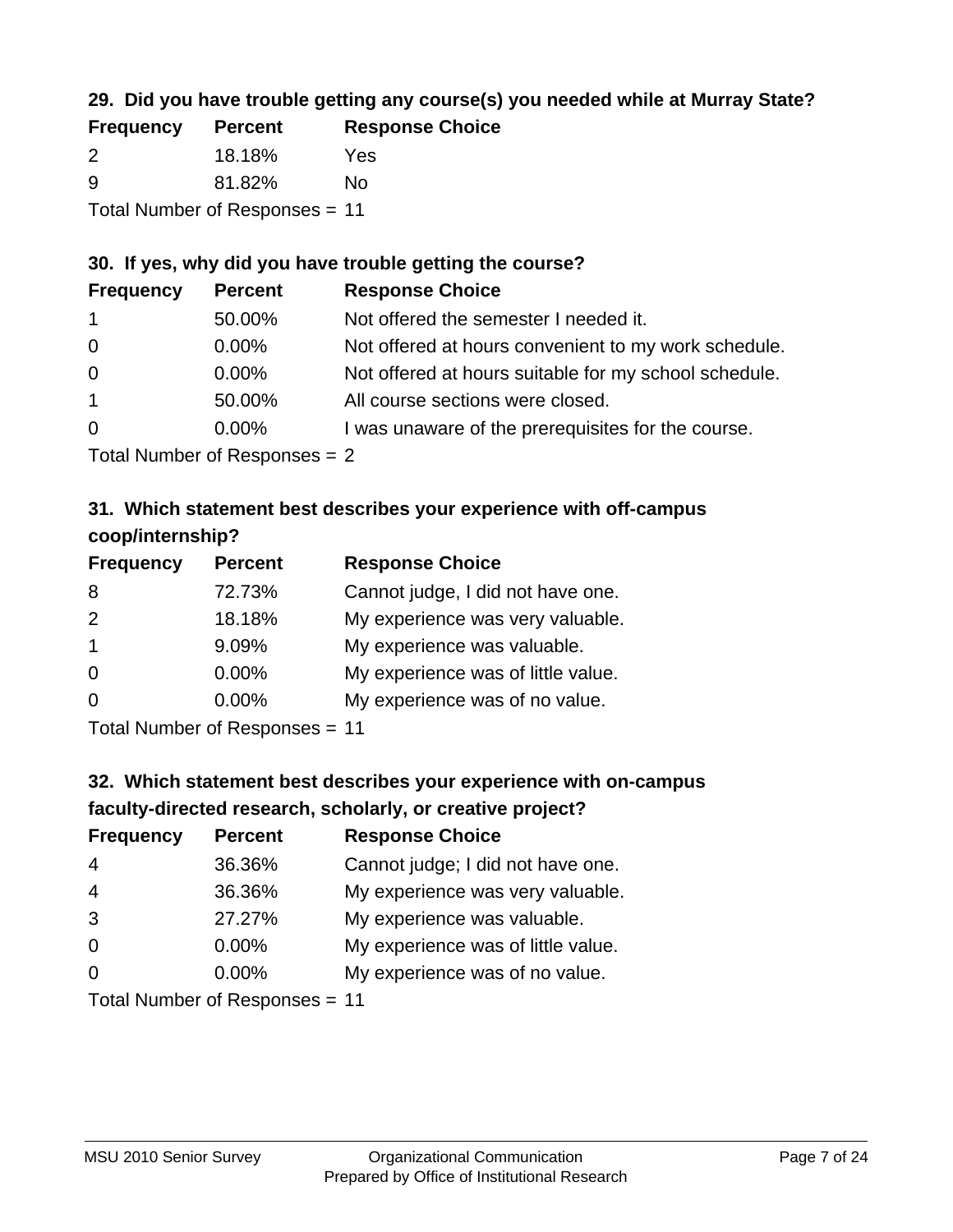# **29. Did you have trouble getting any course(s) you needed while at Murray State?**

| <b>Frequency</b> | <b>Percent</b>                 | <b>Response Choice</b> |
|------------------|--------------------------------|------------------------|
| $\mathcal{P}$    | 18.18%                         | Yes                    |
| -9               | 81.82%                         | Nο                     |
|                  | Total Number of Responses = 11 |                        |

### **30. If yes, why did you have trouble getting the course?**

| <b>Frequency</b> | <b>Percent</b> | <b>Response Choice</b>                                |
|------------------|----------------|-------------------------------------------------------|
| $\overline{1}$   | 50.00%         | Not offered the semester I needed it.                 |
| $\overline{0}$   | $0.00\%$       | Not offered at hours convenient to my work schedule.  |
| $\overline{0}$   | $0.00\%$       | Not offered at hours suitable for my school schedule. |
| $\overline{1}$   | 50.00%         | All course sections were closed.                      |
| $\overline{0}$   | $0.00\%$       | I was unaware of the prerequisites for the course.    |
|                  |                |                                                       |

Total Number of Responses = 2

# **31. Which statement best describes your experience with off-campus coop/internship?**

| <b>Frequency</b> | <b>Percent</b> | <b>Response Choice</b>             |
|------------------|----------------|------------------------------------|
| 8                | 72.73%         | Cannot judge, I did not have one.  |
| 2                | 18.18%         | My experience was very valuable.   |
| $\overline{1}$   | 9.09%          | My experience was valuable.        |
| $\Omega$         | $0.00\%$       | My experience was of little value. |
| $\Omega$         | 0.00%          | My experience was of no value.     |
|                  |                |                                    |

Total Number of Responses = 11

# **32. Which statement best describes your experience with on-campus faculty-directed research, scholarly, or creative project?**

| <b>Frequency</b> | <b>Percent</b>             | <b>Response Choice</b>             |
|------------------|----------------------------|------------------------------------|
| 4                | 36.36%                     | Cannot judge; I did not have one.  |
| $\overline{4}$   | 36.36%                     | My experience was very valuable.   |
| 3                | 27.27%                     | My experience was valuable.        |
| $\Omega$         | 0.00%                      | My experience was of little value. |
| $\Omega$         | 0.00%                      | My experience was of no value.     |
|                  | Tatal Number of Desperance |                                    |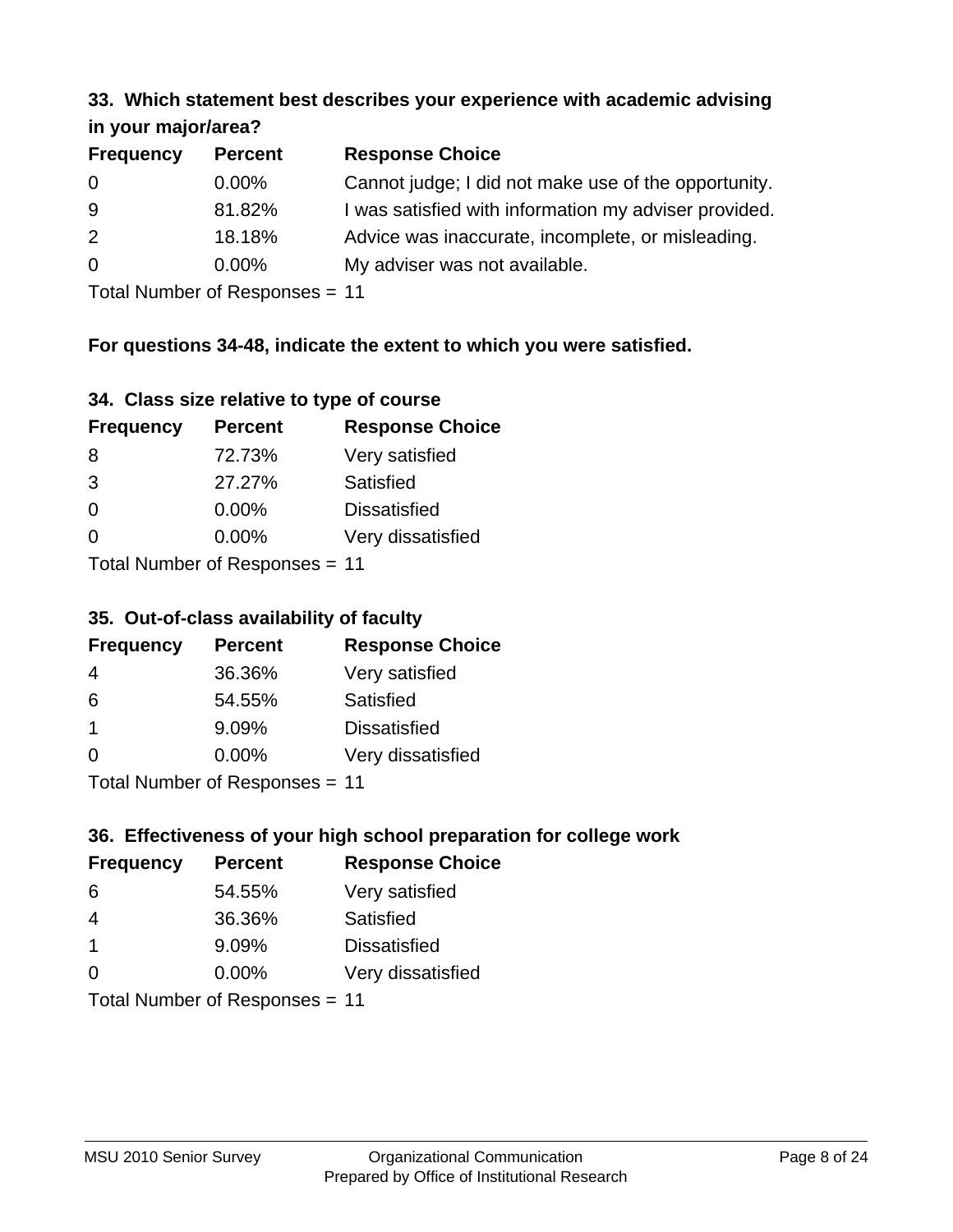#### **33. Which statement best describes your experience with academic advising in your major/area?**

| $\cdots$ your mapproved. |                |                                                       |
|--------------------------|----------------|-------------------------------------------------------|
| <b>Frequency</b>         | <b>Percent</b> | <b>Response Choice</b>                                |
| 0                        | $0.00\%$       | Cannot judge; I did not make use of the opportunity.  |
| 9                        | 81.82%         | I was satisfied with information my adviser provided. |
| 2                        | 18.18%         | Advice was inaccurate, incomplete, or misleading.     |
| $\overline{0}$           | $0.00\%$       | My adviser was not available.                         |
|                          |                |                                                       |

Total Number of Responses = 11

# **For questions 34-48, indicate the extent to which you were satisfied.**

| 34. Class size relative to type of course |  |  |  |  |  |  |  |  |
|-------------------------------------------|--|--|--|--|--|--|--|--|
|-------------------------------------------|--|--|--|--|--|--|--|--|

| <b>Frequency</b>               | <b>Percent</b> | <b>Response Choice</b> |  |
|--------------------------------|----------------|------------------------|--|
| 8                              | 72.73%         | Very satisfied         |  |
| 3                              | 27.27%         | Satisfied              |  |
| $\Omega$                       | 0.00%          | <b>Dissatisfied</b>    |  |
| $\Omega$                       | $0.00\%$       | Very dissatisfied      |  |
| Total Number of Reconnege - 11 |                |                        |  |

Total Number of Responses = 11

# **35. Out-of-class availability of faculty**

| <b>Frequency</b> | <b>Percent</b>            | <b>Response Choice</b> |
|------------------|---------------------------|------------------------|
| 4                | 36.36%                    | Very satisfied         |
| 6                | 54.55%                    | Satisfied              |
| -1               | 9.09%                     | <b>Dissatisfied</b>    |
| $\Omega$         | $0.00\%$                  | Very dissatisfied      |
|                  | Total Number of Deepensee |                        |

Total Number of Responses = 11

# **36. Effectiveness of your high school preparation for college work**

| <b>Frequency</b> | <b>Percent</b>                 | <b>Response Choice</b> |
|------------------|--------------------------------|------------------------|
| 6                | 54.55%                         | Very satisfied         |
| 4                | 36.36%                         | Satisfied              |
| -1               | 9.09%                          | <b>Dissatisfied</b>    |
| $\Omega$         | 0.00%                          | Very dissatisfied      |
|                  | Total Number of Poenonces - 11 |                        |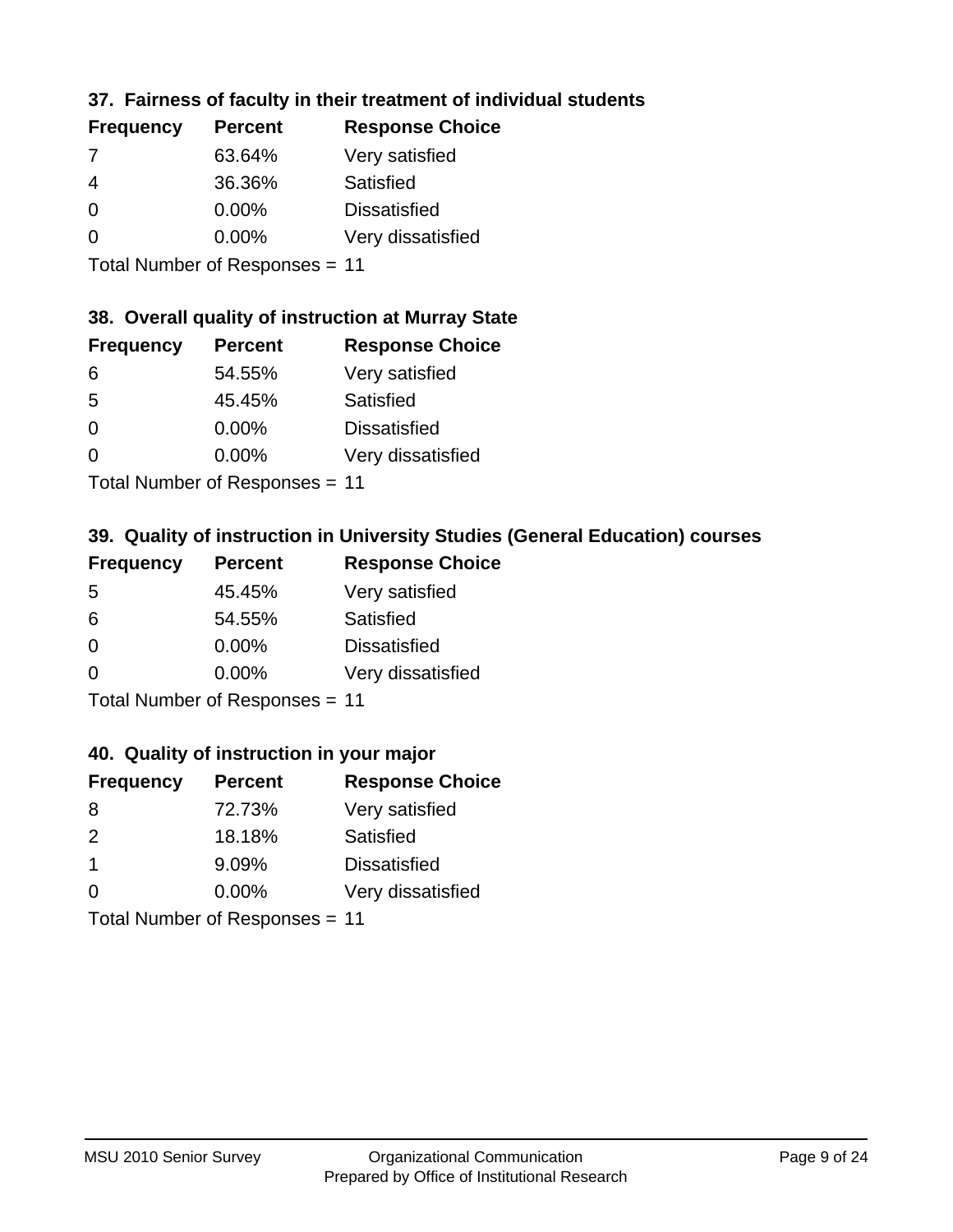# **37. Fairness of faculty in their treatment of individual students**

| <b>Frequency</b> | <b>Percent</b> | <b>Response Choice</b> |
|------------------|----------------|------------------------|
| 7                | 63.64%         | Very satisfied         |
| $\overline{4}$   | 36.36%         | Satisfied              |
| $\Omega$         | $0.00\%$       | <b>Dissatisfied</b>    |
| $\Omega$         | 0.00%          | Very dissatisfied      |
|                  |                |                        |

Total Number of Responses = 11

# **38. Overall quality of instruction at Murray State**

| <b>Frequency</b> | <b>Percent</b> | <b>Response Choice</b> |
|------------------|----------------|------------------------|
| 6                | 54.55%         | Very satisfied         |
| .5               | 45.45%         | Satisfied              |
| $\Omega$         | $0.00\%$       | <b>Dissatisfied</b>    |
| $\Omega$         | 0.00%          | Very dissatisfied      |
|                  |                |                        |

Total Number of Responses = 11

# **39. Quality of instruction in University Studies (General Education) courses**

| <b>Frequency</b> | <b>Percent</b>             | <b>Response Choice</b> |
|------------------|----------------------------|------------------------|
| -5               | 45.45%                     | Very satisfied         |
| 6                | 54.55%                     | Satisfied              |
| $\Omega$         | 0.00%                      | <b>Dissatisfied</b>    |
| $\Omega$         | 0.00%                      | Very dissatisfied      |
|                  | Tatal Manakan af Dagmanage |                        |

Total Number of Responses = 11

### **40. Quality of instruction in your major**

| <b>Frequency</b> | <b>Percent</b>             | <b>Response Choice</b> |
|------------------|----------------------------|------------------------|
| 8                | 72.73%                     | Very satisfied         |
| $\mathcal{P}$    | 18.18%                     | Satisfied              |
| $\mathbf 1$      | 9.09%                      | <b>Dissatisfied</b>    |
| $\Omega$         | 0.00%                      | Very dissatisfied      |
|                  | Tatal Manakan af Dagmanage |                        |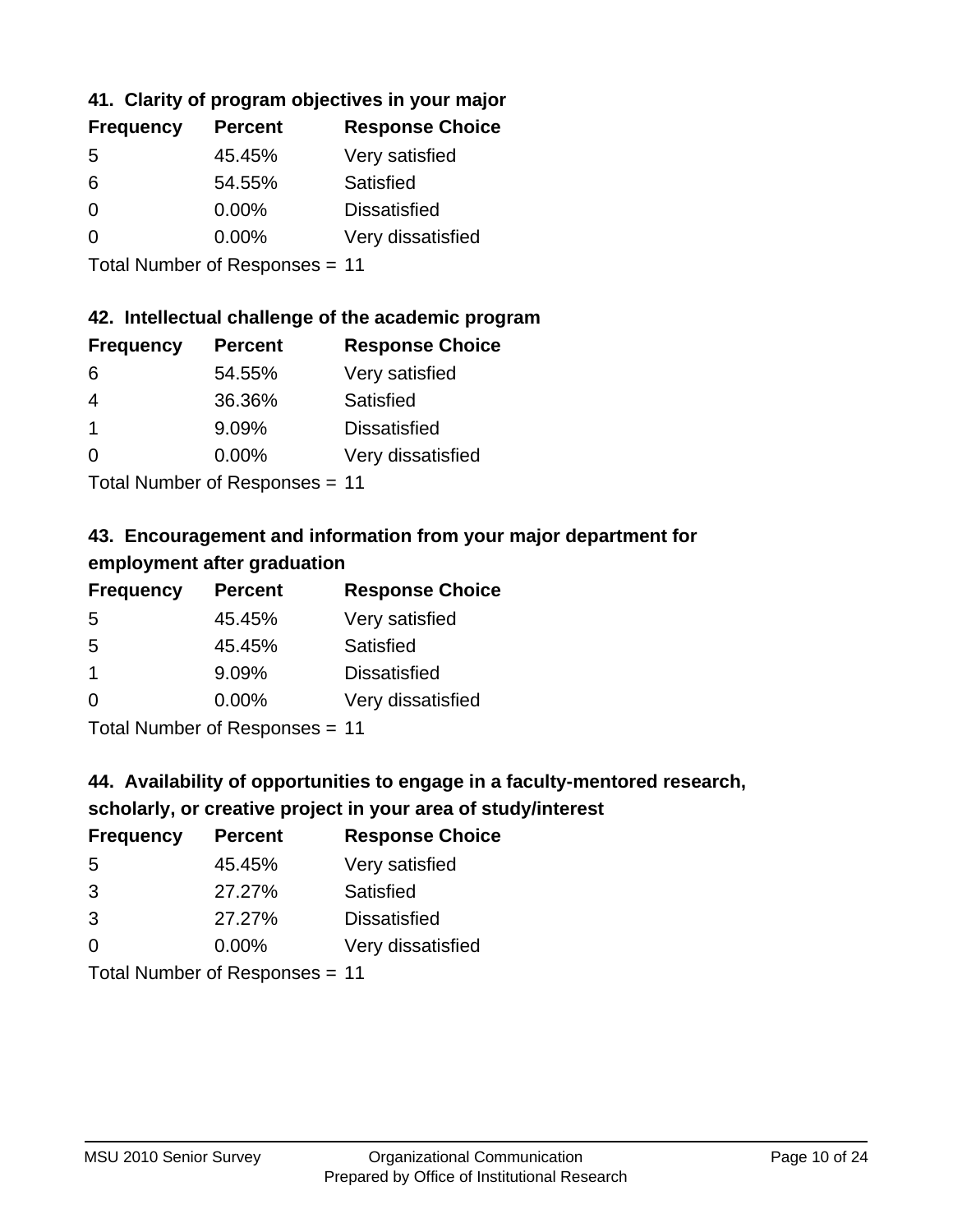# **41. Clarity of program objectives in your major**

| <b>Frequency</b> | <b>Percent</b> | <b>Response Choice</b> |
|------------------|----------------|------------------------|
| .5               | 45.45%         | Very satisfied         |
| 6                | 54.55%         | Satisfied              |
| $\Omega$         | $0.00\%$       | <b>Dissatisfied</b>    |
| O                | $0.00\%$       | Very dissatisfied      |
|                  |                |                        |

Total Number of Responses = 11

### **42. Intellectual challenge of the academic program**

| <b>Frequency</b> | <b>Percent</b> | <b>Response Choice</b> |
|------------------|----------------|------------------------|
| 6                | 54.55%         | Very satisfied         |
| 4                | 36.36%         | Satisfied              |
|                  | 9.09%          | <b>Dissatisfied</b>    |
| $\Omega$         | 0.00%          | Very dissatisfied      |
|                  |                |                        |

Total Number of Responses = 11

# **43. Encouragement and information from your major department for employment after graduation**

| <b>Frequency</b> | <b>Percent</b>             | <b>Response Choice</b> |
|------------------|----------------------------|------------------------|
| 5                | 45.45%                     | Very satisfied         |
| 5                | 45.45%                     | Satisfied              |
| $\mathbf 1$      | 9.09%                      | <b>Dissatisfied</b>    |
| $\Omega$         | $0.00\%$                   | Very dissatisfied      |
|                  | Tatal Manakan af Dagmanage |                        |

Total Number of Responses = 11

# **44. Availability of opportunities to engage in a faculty-mentored research,**

# **scholarly, or creative project in your area of study/interest**

| <b>Frequency</b> | <b>Percent</b> | <b>Response Choice</b> |
|------------------|----------------|------------------------|
| .5               | 45.45%         | Very satisfied         |
| 3                | 27.27%         | Satisfied              |
| 3                | 27.27%         | <b>Dissatisfied</b>    |
| $\Omega$         | 0.00%          | Very dissatisfied      |
|                  |                |                        |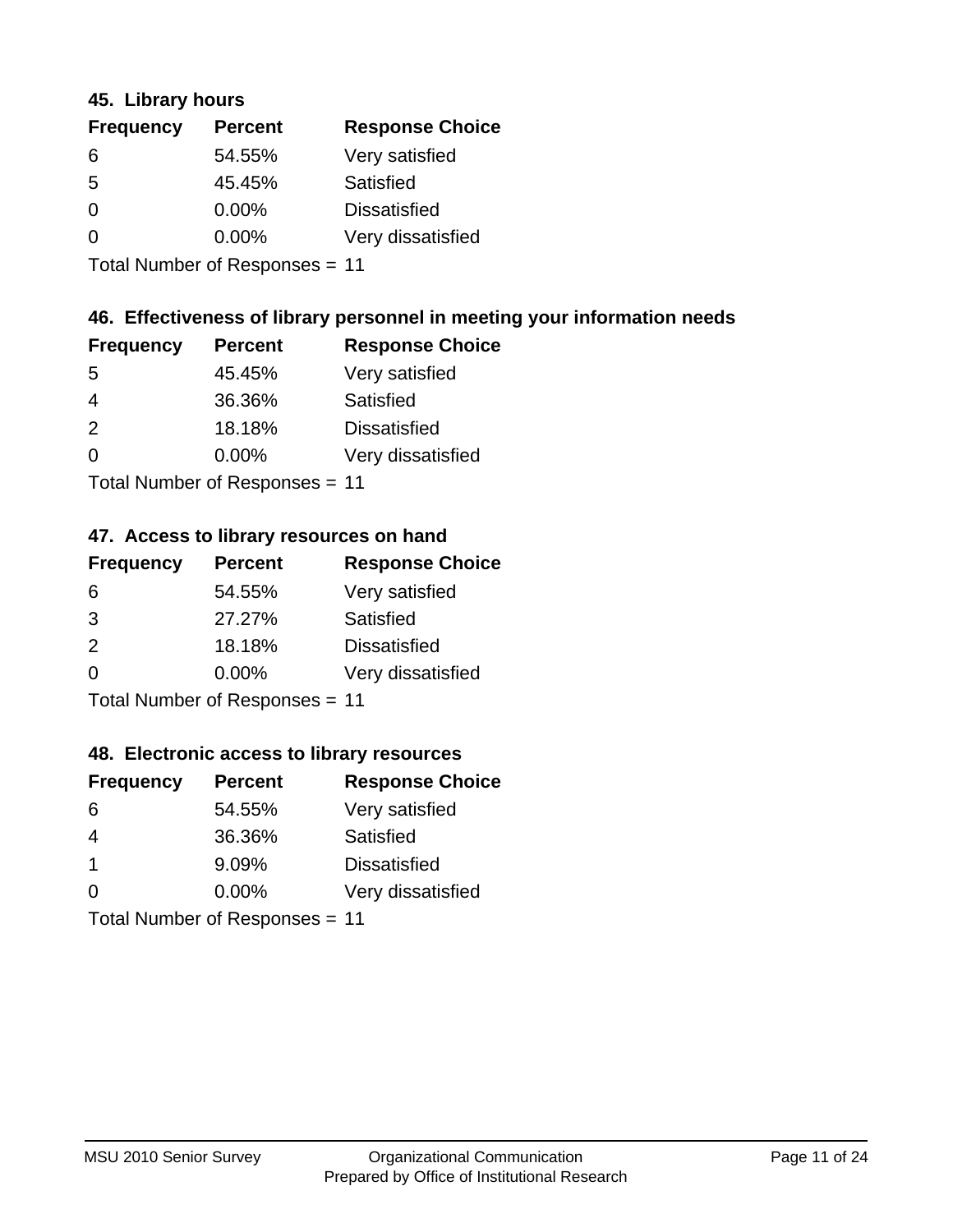### **45. Library hours**

| <b>Frequency</b> | <b>Percent</b> | <b>Response Choice</b> |
|------------------|----------------|------------------------|
| 6                | 54.55%         | Very satisfied         |
| 5                | 45.45%         | Satisfied              |
| 0                | $0.00\%$       | <b>Dissatisfied</b>    |
| $\Omega$         | 0.00%          | Very dissatisfied      |
|                  |                |                        |

Total Number of Responses = 11

# **46. Effectiveness of library personnel in meeting your information needs**

| <b>Frequency</b> | <b>Percent</b> | <b>Response Choice</b> |
|------------------|----------------|------------------------|
| .5               | 45.45%         | Very satisfied         |
| 4                | 36.36%         | Satisfied              |
| $\mathcal{P}$    | 18.18%         | <b>Dissatisfied</b>    |
| $\Omega$         | $0.00\%$       | Very dissatisfied      |
|                  |                |                        |

Total Number of Responses = 11

### **47. Access to library resources on hand**

| <b>Frequency</b> | <b>Percent</b>                | <b>Response Choice</b> |
|------------------|-------------------------------|------------------------|
| 6                | 54.55%                        | Very satisfied         |
| 3                | 27.27%                        | Satisfied              |
| 2                | 18.18%                        | <b>Dissatisfied</b>    |
| $\Omega$         | 0.00%                         | Very dissatisfied      |
|                  | $T$ and Number of Description |                        |

Total Number of Responses = 11

### **48. Electronic access to library resources**

| <b>Frequency</b> | <b>Percent</b>                 | <b>Response Choice</b> |
|------------------|--------------------------------|------------------------|
| 6                | 54.55%                         | Very satisfied         |
| 4                | 36.36%                         | Satisfied              |
| -1               | 9.09%                          | <b>Dissatisfied</b>    |
| $\Omega$         | $0.00\%$                       | Very dissatisfied      |
|                  | Total Number of Responses = 11 |                        |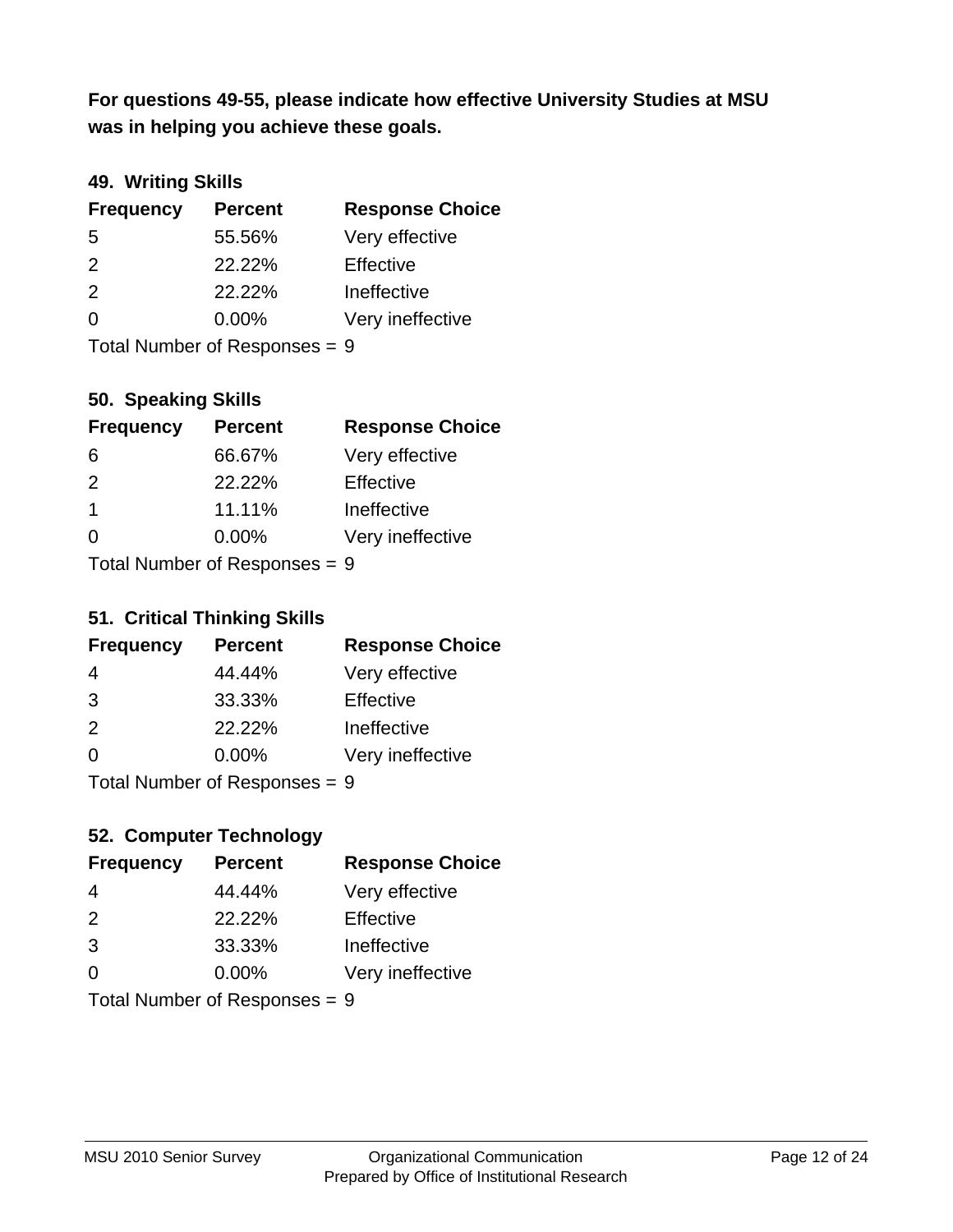**was in helping you achieve these goals. For questions 49-55, please indicate how effective University Studies at MSU** 

# **49. Writing Skills**

| <b>Frequency</b>              | <b>Percent</b> | <b>Response Choice</b> |
|-------------------------------|----------------|------------------------|
| 5                             | 55.56%         | Very effective         |
| 2                             | 22.22%         | Effective              |
| 2                             | 22.22%         | Ineffective            |
| $\Omega$                      | $0.00\%$       | Very ineffective       |
| Total Number of Responses = 9 |                |                        |

**50. Speaking Skills**

| <b>Frequency</b> | <b>Percent</b>            | <b>Response Choice</b> |
|------------------|---------------------------|------------------------|
| 6                | 66.67%                    | Very effective         |
| $\mathcal{P}$    | 22.22%                    | Effective              |
| $\mathbf 1$      | 11.11%                    | Ineffective            |
| $\Omega$         | 0.00%                     | Very ineffective       |
|                  | Total Number of Deepensee |                        |

Total Number of Responses = 9

### **51. Critical Thinking Skills**

| <b>Frequency</b> | <b>Percent</b>                                                                                                                                                                                                                 | <b>Response Choice</b> |
|------------------|--------------------------------------------------------------------------------------------------------------------------------------------------------------------------------------------------------------------------------|------------------------|
| 4                | 44.44%                                                                                                                                                                                                                         | Very effective         |
| 3                | 33.33%                                                                                                                                                                                                                         | Effective              |
| 2                | 22.22%                                                                                                                                                                                                                         | Ineffective            |
| $\Omega$         | 0.00%                                                                                                                                                                                                                          | Very ineffective       |
|                  | The INDIAN Contract Contract in the Contract of The Contract of The Contract of The Contract of The Contract of The Contract of The Contract of The Contract of The Contract of The Contract of The Contract of The Contract o |                        |

Total Number of Responses = 9

# **52. Computer Technology**

| <b>Frequency</b> | <b>Percent</b>                | <b>Response Choice</b> |
|------------------|-------------------------------|------------------------|
| 4                | 44.44%                        | Very effective         |
| 2                | 22.22%                        | Effective              |
| 3                | 33.33%                        | Ineffective            |
| $\Omega$         | 0.00%                         | Very ineffective       |
|                  | Total Number of Responses = 9 |                        |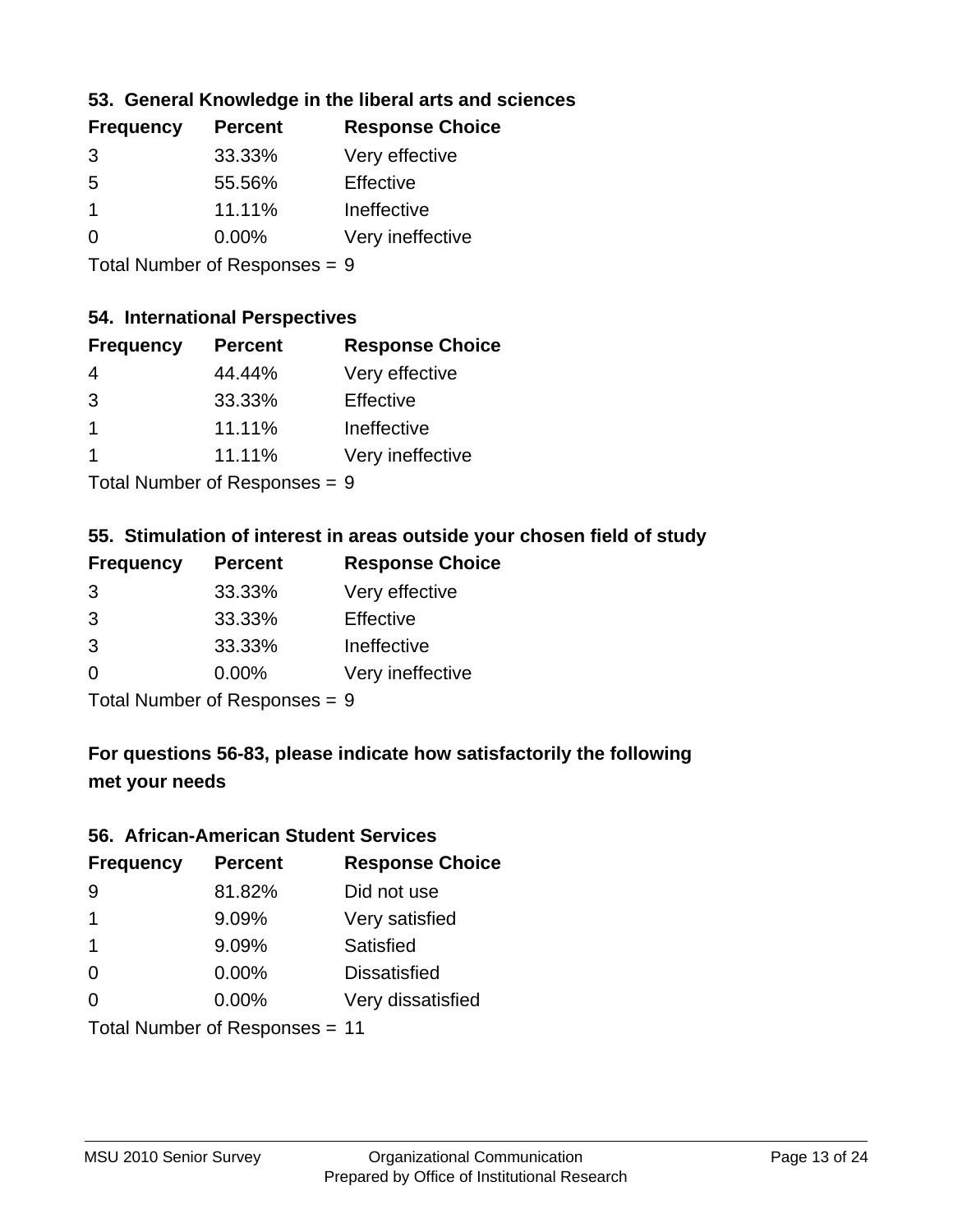# **53. General Knowledge in the liberal arts and sciences**

| <b>Frequency</b> | <b>Percent</b> | <b>Response Choice</b> |
|------------------|----------------|------------------------|
| 3                | 33.33%         | Very effective         |
| .5               | 55.56%         | Effective              |
|                  | 11.11%         | Ineffective            |
| $\Omega$         | $0.00\%$       | Very ineffective       |
|                  |                |                        |

Total Number of Responses = 9

#### **54. International Perspectives**

| <b>Frequency</b> | <b>Percent</b> | <b>Response Choice</b> |
|------------------|----------------|------------------------|
| 4                | 44.44%         | Very effective         |
| 3                | 33.33%         | Effective              |
| -1               | 11.11%         | Ineffective            |
| 1                | 11.11%         | Very ineffective       |
|                  |                |                        |

Total Number of Responses = 9

### **55. Stimulation of interest in areas outside your chosen field of study**

| <b>Frequency</b> | <b>Percent</b>                 | <b>Response Choice</b> |
|------------------|--------------------------------|------------------------|
| 3                | 33.33%                         | Very effective         |
| 3                | 33.33%                         | Effective              |
| 3                | 33.33%                         | Ineffective            |
| $\Omega$         | 0.00%                          | Very ineffective       |
|                  | Tatal Manufacture Construction |                        |

Total Number of Responses = 9

# **For questions 56-83, please indicate how satisfactorily the following met your needs**

#### **56. African-American Student Services**

| <b>Frequency</b>     | <b>Percent</b>                 | <b>Response Choice</b> |
|----------------------|--------------------------------|------------------------|
| 9                    | 81.82%                         | Did not use            |
| $\blacktriangleleft$ | 9.09%                          | Very satisfied         |
| 1                    | 9.09%                          | <b>Satisfied</b>       |
| $\Omega$             | $0.00\%$                       | <b>Dissatisfied</b>    |
| $\Omega$             | 0.00%                          | Very dissatisfied      |
|                      | Total Number of Responses = 11 |                        |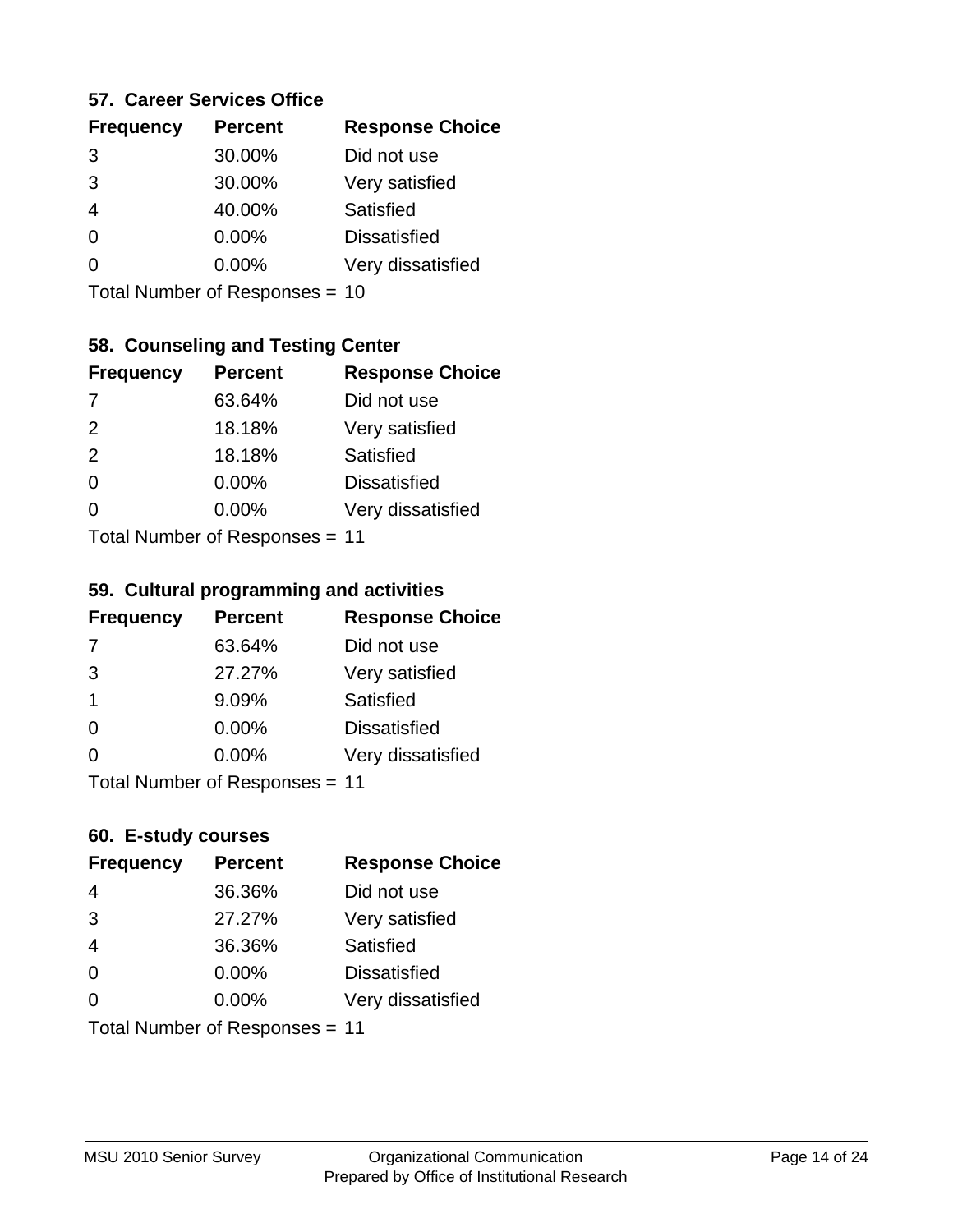### **57. Career Services Office**

| <b>Frequency</b> | <b>Percent</b> | <b>Response Choice</b> |
|------------------|----------------|------------------------|
| 3                | 30.00%         | Did not use            |
| 3                | 30.00%         | Very satisfied         |
|                  | 40.00%         | Satisfied              |
| 0                | 0.00%          | <b>Dissatisfied</b>    |
|                  | $0.00\%$       | Very dissatisfied      |
|                  |                |                        |

Total Number of Responses = 10

# **58. Counseling and Testing Center**

| <b>Frequency</b> | <b>Percent</b>            | <b>Response Choice</b> |
|------------------|---------------------------|------------------------|
| -7               | 63.64%                    | Did not use            |
| 2                | 18.18%                    | Very satisfied         |
| 2                | 18.18%                    | Satisfied              |
| $\Omega$         | 0.00%                     | <b>Dissatisfied</b>    |
| ∩                | 0.00%                     | Very dissatisfied      |
|                  | Total Number of DoEROR 0. |                        |

Total Number of Responses = 11

#### **59. Cultural programming and activities**

| <b>Frequency</b>          | <b>Percent</b> | <b>Response Choice</b> |
|---------------------------|----------------|------------------------|
| 7                         | 63.64%         | Did not use            |
| 3                         | 27.27%         | Very satisfied         |
| $\overline{1}$            | 9.09%          | <b>Satisfied</b>       |
| $\Omega$                  | $0.00\%$       | <b>Dissatisfied</b>    |
| $\Omega$                  | 0.00%          | Very dissatisfied      |
| Total Number of Desponses |                |                        |

Total Number of Responses = 11

### **60. E-study courses**

| <b>Frequency</b> | <b>Percent</b>                 | <b>Response Choice</b> |
|------------------|--------------------------------|------------------------|
| 4                | 36.36%                         | Did not use            |
| 3                | 27.27%                         | Very satisfied         |
| $\overline{4}$   | 36.36%                         | Satisfied              |
| $\Omega$         | $0.00\%$                       | <b>Dissatisfied</b>    |
| $\Omega$         | 0.00%                          | Very dissatisfied      |
|                  | Total Number of Responses = 11 |                        |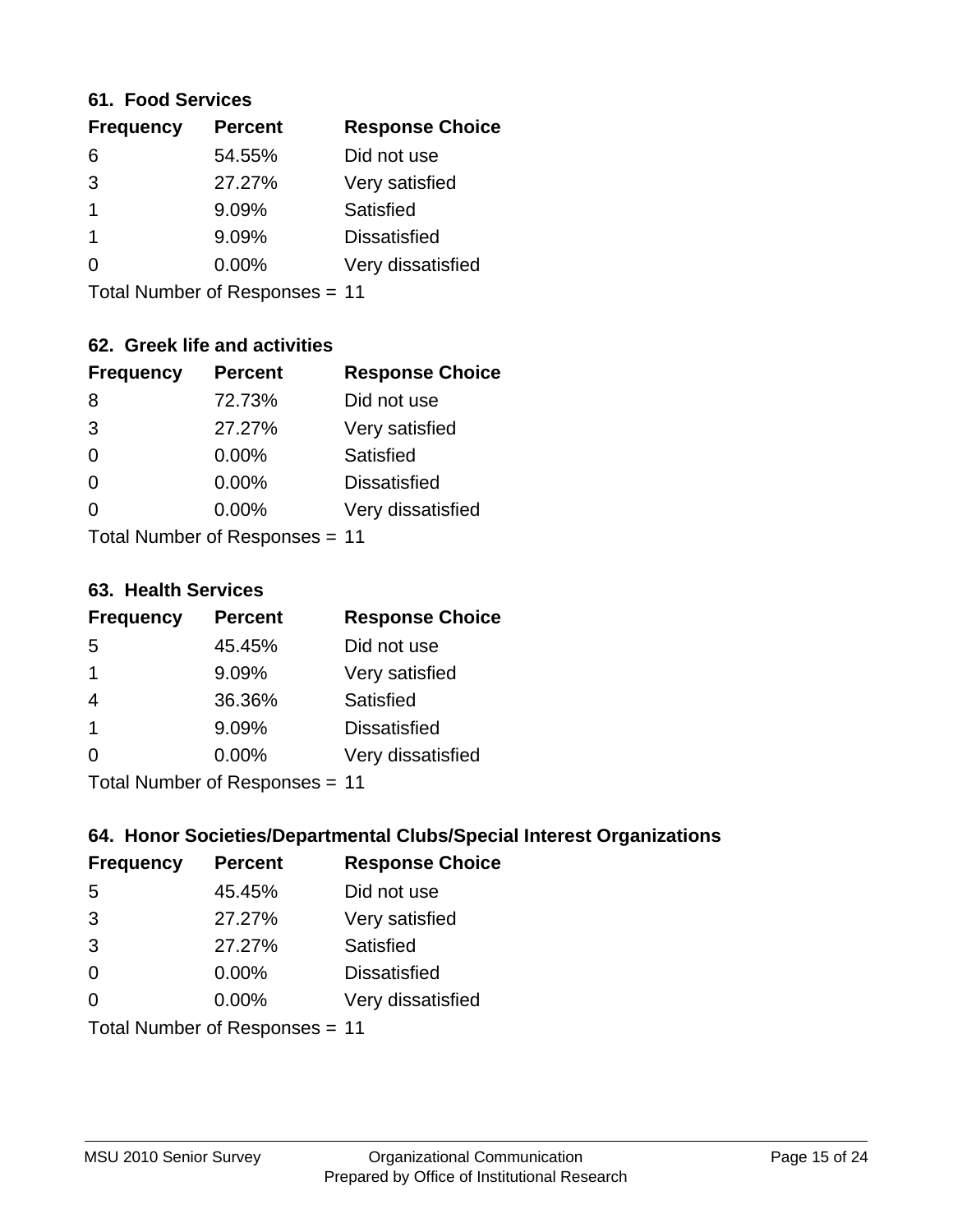#### **61. Food Services**

| <b>Response Choice</b> |
|------------------------|
|                        |
|                        |
|                        |
|                        |
| Very dissatisfied      |
|                        |

Total Number of Responses = 11

# **62. Greek life and activities**

| <b>Frequency</b>               | <b>Percent</b> | <b>Response Choice</b> |
|--------------------------------|----------------|------------------------|
| 8                              | 72.73%         | Did not use            |
| 3                              | 27.27%         | Very satisfied         |
| $\Omega$                       | 0.00%          | Satisfied              |
| $\Omega$                       | 0.00%          | <b>Dissatisfied</b>    |
|                                | $0.00\%$       | Very dissatisfied      |
| Total Number of Responses = 11 |                |                        |

#### **63. Health Services**

| <b>Frequency</b>          | <b>Percent</b> | <b>Response Choice</b> |
|---------------------------|----------------|------------------------|
| 5                         | 45.45%         | Did not use            |
| $\mathbf 1$               | 9.09%          | Very satisfied         |
| 4                         | 36.36%         | Satisfied              |
| $\overline{1}$            | 9.09%          | <b>Dissatisfied</b>    |
| $\Omega$                  | 0.00%          | Very dissatisfied      |
| Total Number of Desponses |                |                        |

Total Number of Responses = 11

# **64. Honor Societies/Departmental Clubs/Special Interest Organizations**

| <b>Frequency</b> | <b>Percent</b>                 | <b>Response Choice</b> |
|------------------|--------------------------------|------------------------|
| 5                | 45.45%                         | Did not use            |
| 3                | 27.27%                         | Very satisfied         |
| 3                | 27.27%                         | Satisfied              |
| $\Omega$         | 0.00%                          | <b>Dissatisfied</b>    |
| $\Omega$         | 0.00%                          | Very dissatisfied      |
|                  | Total Number of Responses = 11 |                        |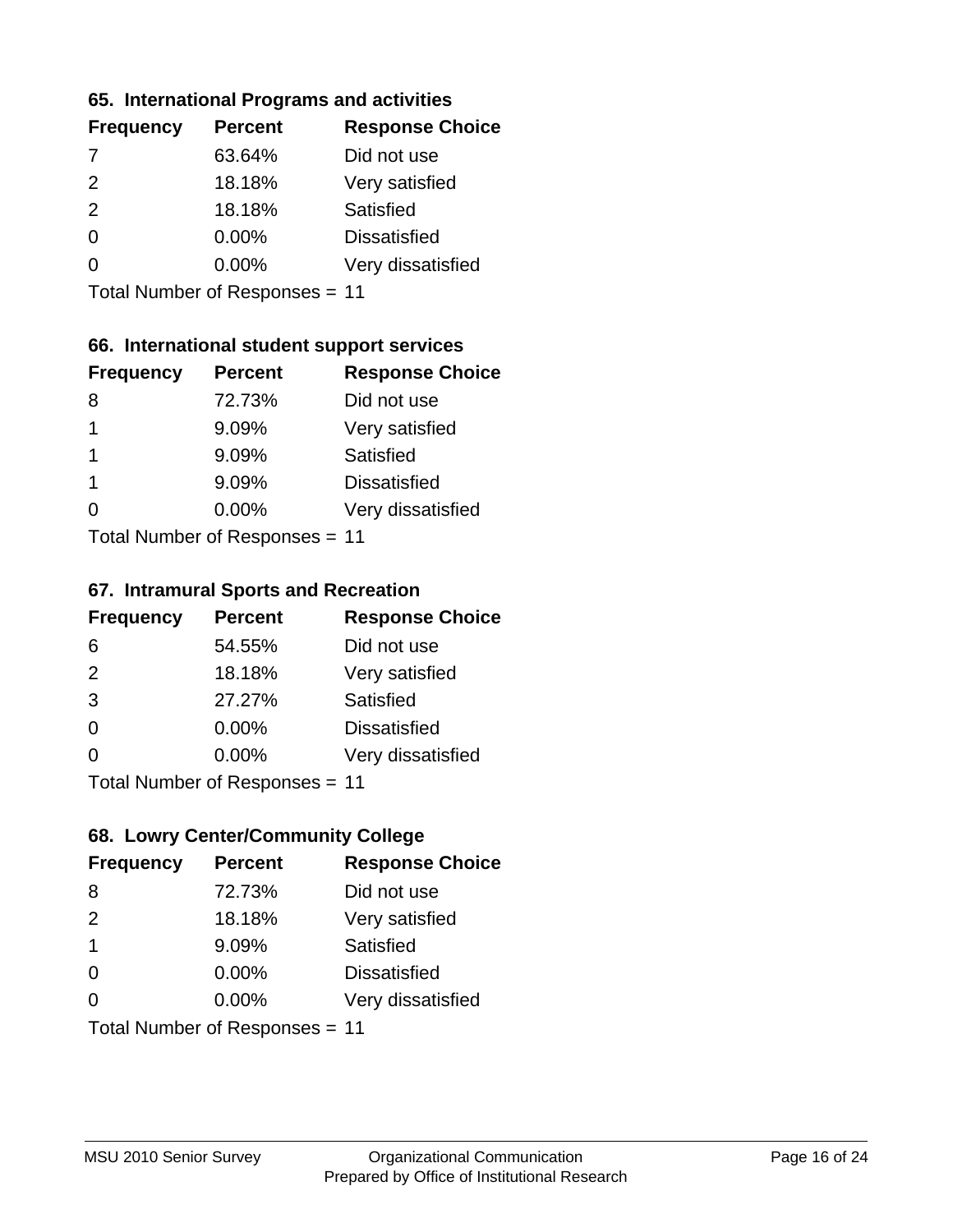### **65. International Programs and activities**

| <b>Percent</b> | <b>Response Choice</b> |
|----------------|------------------------|
| 63.64%         | Did not use            |
| 18.18%         | Very satisfied         |
| 18.18%         | Satisfied              |
| 0.00%          | <b>Dissatisfied</b>    |
| 0.00%          | Very dissatisfied      |
|                |                        |

Total Number of Responses = 11

# **66. International student support services**

| <b>Frequency</b>          | <b>Percent</b> | <b>Response Choice</b> |
|---------------------------|----------------|------------------------|
| 8                         | 72.73%         | Did not use            |
| 1                         | 9.09%          | Very satisfied         |
| $\mathbf 1$               | 9.09%          | <b>Satisfied</b>       |
| -1                        | 9.09%          | <b>Dissatisfied</b>    |
| 0                         | 0.00%          | Very dissatisfied      |
| Total Number of DoEROR 0. |                |                        |

Total Number of Responses = 11

### **67. Intramural Sports and Recreation**

| <b>Frequency</b> | <b>Percent</b>            | <b>Response Choice</b> |
|------------------|---------------------------|------------------------|
| 6                | 54.55%                    | Did not use            |
| 2                | 18.18%                    | Very satisfied         |
| 3                | 27.27%                    | Satisfied              |
| $\Omega$         | 0.00%                     | <b>Dissatisfied</b>    |
| $\Omega$         | 0.00%                     | Very dissatisfied      |
|                  | Total Number of Desponses |                        |

Total Number of Responses = 11

# **68. Lowry Center/Community College**

| <b>Frequency</b> | <b>Percent</b>                 | <b>Response Choice</b> |
|------------------|--------------------------------|------------------------|
| 8                | 72.73%                         | Did not use            |
| 2                | 18.18%                         | Very satisfied         |
| $\mathbf 1$      | 9.09%                          | Satisfied              |
| $\Omega$         | 0.00%                          | <b>Dissatisfied</b>    |
| $\Omega$         | $0.00\%$                       | Very dissatisfied      |
|                  | Total Number of Responses = 11 |                        |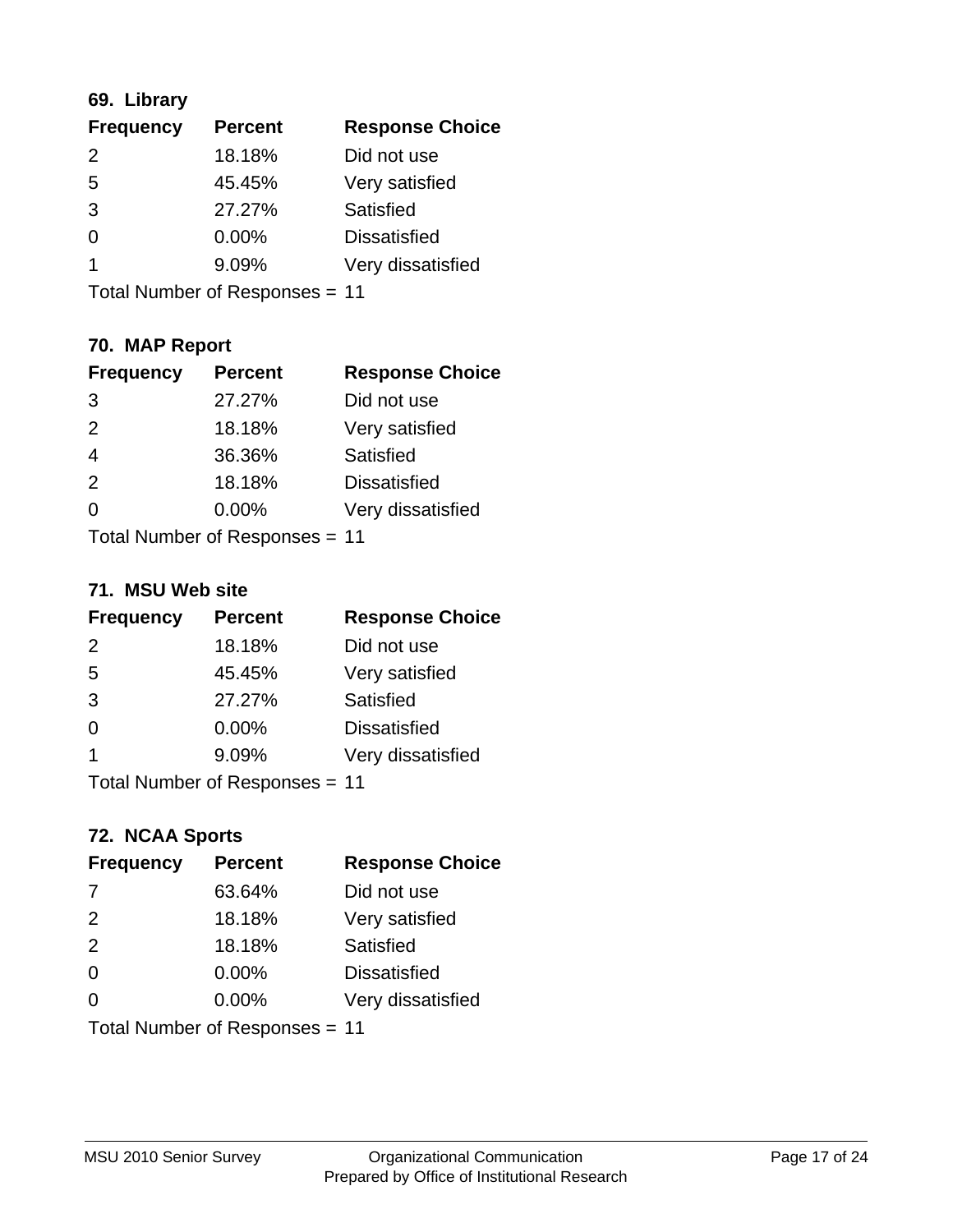# **69. Library**

| <b>Frequency</b> | <b>Percent</b> | <b>Response Choice</b> |
|------------------|----------------|------------------------|
| $\mathcal{P}$    | 18.18%         | Did not use            |
| 5                | 45.45%         | Very satisfied         |
| 3                | 27.27%         | Satisfied              |
| 0                | 0.00%          | <b>Dissatisfied</b>    |
|                  | 9.09%          | Very dissatisfied      |
|                  |                |                        |

Total Number of Responses = 11

# **70. MAP Report**

| <b>Frequency</b>               | <b>Percent</b> | <b>Response Choice</b> |
|--------------------------------|----------------|------------------------|
| 3                              | 27.27%         | Did not use            |
| 2                              | 18.18%         | Very satisfied         |
| $\overline{4}$                 | 36.36%         | Satisfied              |
| 2                              | 18.18%         | <b>Dissatisfied</b>    |
| ∩                              | $0.00\%$       | Very dissatisfied      |
| Total Number of Responses = 11 |                |                        |

#### **71. MSU Web site**

| <b>Frequency</b>               | <b>Percent</b> | <b>Response Choice</b> |
|--------------------------------|----------------|------------------------|
| $\mathcal{P}$                  | 18.18%         | Did not use            |
| 5                              | 45.45%         | Very satisfied         |
| 3                              | 27.27%         | Satisfied              |
| $\Omega$                       | 0.00%          | <b>Dissatisfied</b>    |
| $\overline{\mathbf{1}}$        | 9.09%          | Very dissatisfied      |
| Total Number of Responses = 11 |                |                        |

# **72. NCAA Sports**

| <b>Frequency</b>               | <b>Percent</b> | <b>Response Choice</b> |
|--------------------------------|----------------|------------------------|
| 7                              | 63.64%         | Did not use            |
| 2                              | 18.18%         | Very satisfied         |
| 2                              | 18.18%         | Satisfied              |
| $\Omega$                       | 0.00%          | <b>Dissatisfied</b>    |
| $\Omega$                       | 0.00%          | Very dissatisfied      |
| Total Number of Responses = 11 |                |                        |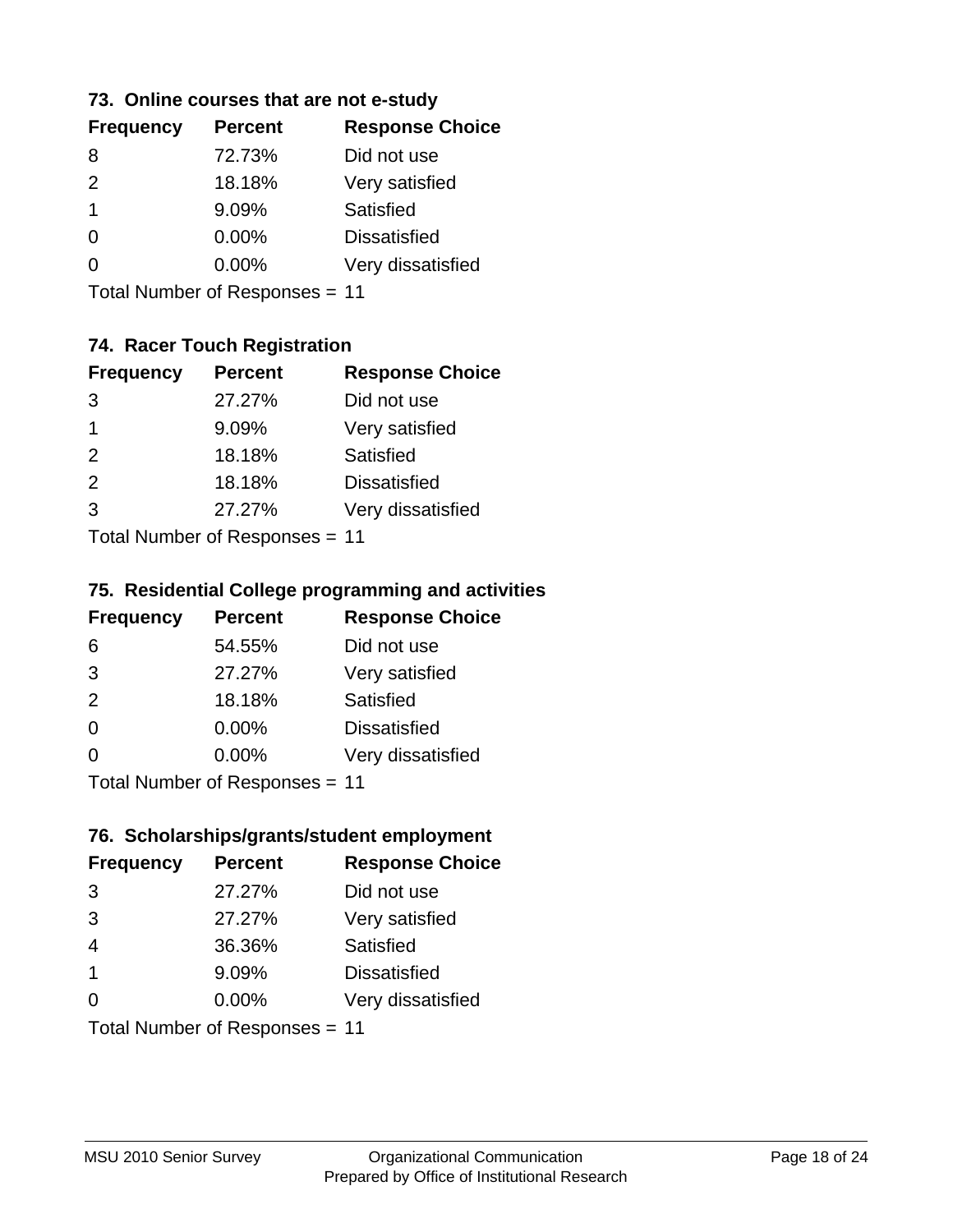# **73. Online courses that are not e-study**

| <b>Percent</b> | <b>Response Choice</b> |
|----------------|------------------------|
| 72.73%         | Did not use            |
| 18.18%         | Very satisfied         |
| 9.09%          | Satisfied              |
| $0.00\%$       | <b>Dissatisfied</b>    |
| $0.00\%$       | Very dissatisfied      |
|                |                        |

Total Number of Responses = 11

# **74. Racer Touch Registration**

| <b>Frequency</b>          | <b>Percent</b> | <b>Response Choice</b> |
|---------------------------|----------------|------------------------|
| 3                         | 27.27%         | Did not use            |
| 1                         | 9.09%          | Very satisfied         |
| 2                         | 18.18%         | Satisfied              |
| 2                         | 18.18%         | <b>Dissatisfied</b>    |
| 3                         | 27.27%         | Very dissatisfied      |
| Total Number of Doopepooo |                |                        |

Total Number of Responses = 11

# **75. Residential College programming and activities**

| <b>Frequency</b>             | <b>Percent</b> | <b>Response Choice</b> |
|------------------------------|----------------|------------------------|
| 6                            | 54.55%         | Did not use            |
| 3                            | 27.27%         | Very satisfied         |
| 2                            | 18.18%         | Satisfied              |
| $\Omega$                     | 0.00%          | <b>Dissatisfied</b>    |
| $\Omega$                     | 0.00%          | Very dissatisfied      |
| Total Number of Deepensee 44 |                |                        |

Total Number of Responses = 11

### **76. Scholarships/grants/student employment**

| <b>Frequency</b> | <b>Percent</b>                 | <b>Response Choice</b> |
|------------------|--------------------------------|------------------------|
| 3                | 27.27%                         | Did not use            |
| 3                | 27.27%                         | Very satisfied         |
| $\overline{4}$   | 36.36%                         | Satisfied              |
| $\overline{1}$   | 9.09%                          | <b>Dissatisfied</b>    |
| $\Omega$         | $0.00\%$                       | Very dissatisfied      |
|                  | Total Number of Responses = 11 |                        |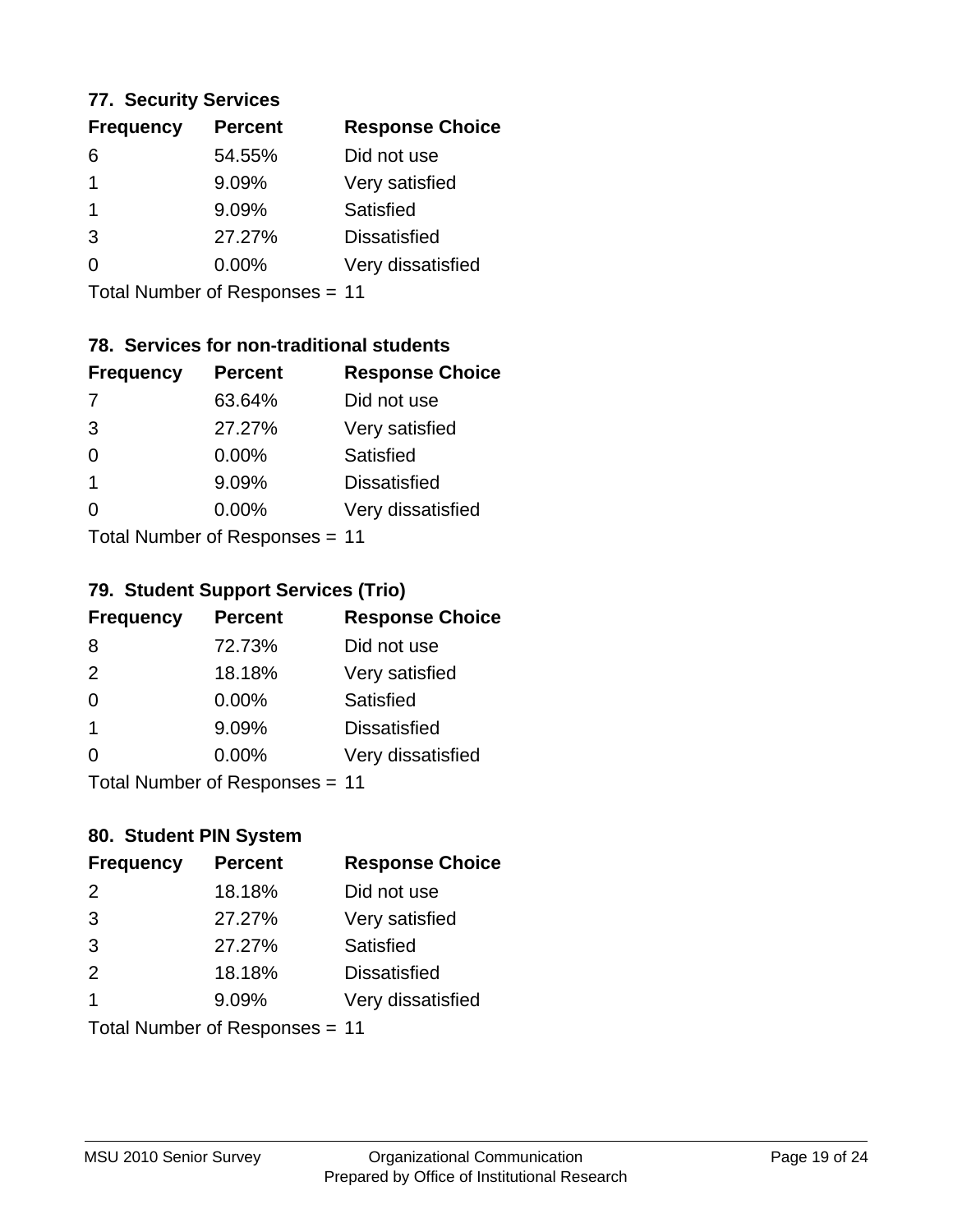### **77. Security Services**

| <b>Percent</b> | <b>Response Choice</b> |
|----------------|------------------------|
| 54.55%         | Did not use            |
| 9.09%          | Very satisfied         |
| 9.09%          | Satisfied              |
| 27.27%         | <b>Dissatisfied</b>    |
| $0.00\%$       | Very dissatisfied      |
|                |                        |

Total Number of Responses = 11

# **78. Services for non-traditional students**

| <b>Frequency</b>                 | <b>Percent</b> | <b>Response Choice</b> |
|----------------------------------|----------------|------------------------|
| 7                                | 63.64%         | Did not use            |
| 3                                | 27.27%         | Very satisfied         |
| $\Omega$                         | 0.00%          | <b>Satisfied</b>       |
| 1                                | 9.09%          | <b>Dissatisfied</b>    |
| ∩                                | 0.00%          | Very dissatisfied      |
| $Total Number of Doeponeoc = 11$ |                |                        |

Total Number of Responses = 11

# **79. Student Support Services (Trio)**

| <b>Frequency</b>          | <b>Percent</b> | <b>Response Choice</b> |
|---------------------------|----------------|------------------------|
| 8                         | 72.73%         | Did not use            |
| 2                         | 18.18%         | Very satisfied         |
| $\Omega$                  | 0.00%          | Satisfied              |
| -1                        | 9.09%          | <b>Dissatisfied</b>    |
| $\Omega$                  | 0.00%          | Very dissatisfied      |
| Total Number of Desponses |                |                        |

Total Number of Responses = 11

# **80. Student PIN System**

| <b>Frequency</b> | <b>Percent</b>                 | <b>Response Choice</b> |
|------------------|--------------------------------|------------------------|
| 2                | 18.18%                         | Did not use            |
| 3                | 27.27%                         | Very satisfied         |
| 3                | 27.27%                         | Satisfied              |
| 2                | 18.18%                         | <b>Dissatisfied</b>    |
| 1                | 9.09%                          | Very dissatisfied      |
|                  | Total Number of Responses = 11 |                        |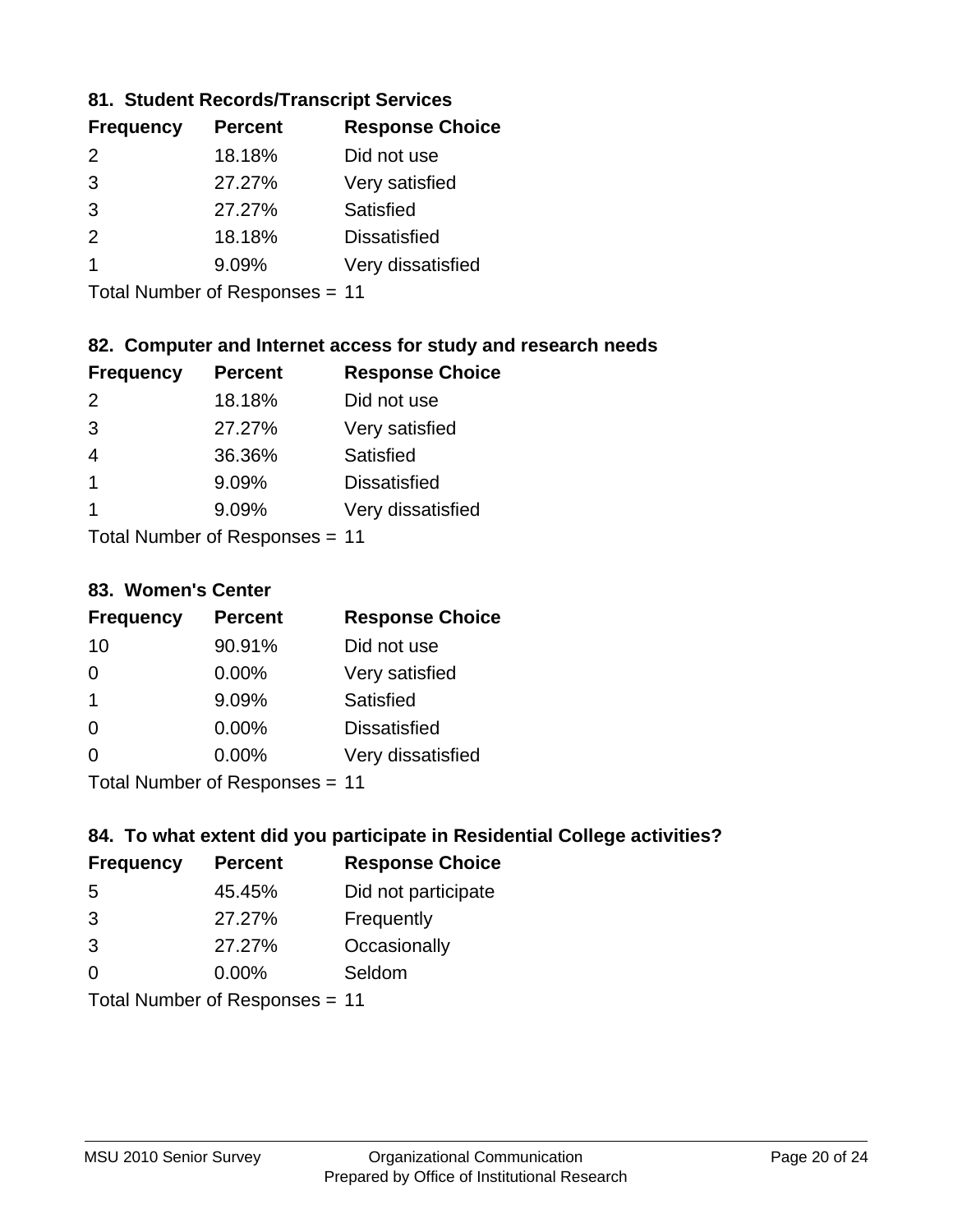# **81. Student Records/Transcript Services**

| <b>Frequency</b> | <b>Percent</b> | <b>Response Choice</b> |
|------------------|----------------|------------------------|
| $\mathcal{P}$    | 18.18%         | Did not use            |
| 3                | 27.27%         | Very satisfied         |
| $\mathcal{B}$    | 27.27%         | Satisfied              |
| $\mathcal{P}$    | 18.18%         | <b>Dissatisfied</b>    |
|                  | 9.09%          | Very dissatisfied      |

Total Number of Responses = 11

# **82. Computer and Internet access for study and research needs**

| <b>Frequency</b>           | <b>Percent</b> | <b>Response Choice</b> |
|----------------------------|----------------|------------------------|
| $\mathcal{P}$              | 18.18%         | Did not use            |
| 3                          | 27.27%         | Very satisfied         |
| 4                          | 36.36%         | Satisfied              |
| $\overline{1}$             | 9.09%          | <b>Dissatisfied</b>    |
| 1                          | 9.09%          | Very dissatisfied      |
| Tatal Number of Desperance |                |                        |

Total Number of Responses = 11

### **83. Women's Center**

| <b>Frequency</b>           | <b>Percent</b> | <b>Response Choice</b> |
|----------------------------|----------------|------------------------|
| 10                         | 90.91%         | Did not use            |
| 0                          | $0.00\%$       | Very satisfied         |
| $\overline{1}$             | 9.09%          | <b>Satisfied</b>       |
| $\Omega$                   | 0.00%          | <b>Dissatisfied</b>    |
| $\Omega$                   | 0.00%          | Very dissatisfied      |
| Total Number of Desperance |                |                        |

Total Number of Responses = 11

# **84. To what extent did you participate in Residential College activities?**

| <b>Frequency</b>             | <b>Percent</b> | <b>Response Choice</b> |
|------------------------------|----------------|------------------------|
| .5                           | 45.45%         | Did not participate    |
| 3                            | 27.27%         | Frequently             |
| 3                            | 27.27%         | Occasionally           |
| $\Omega$                     | 0.00%          | Seldom                 |
| Tatal Manuel and Davis and a |                |                        |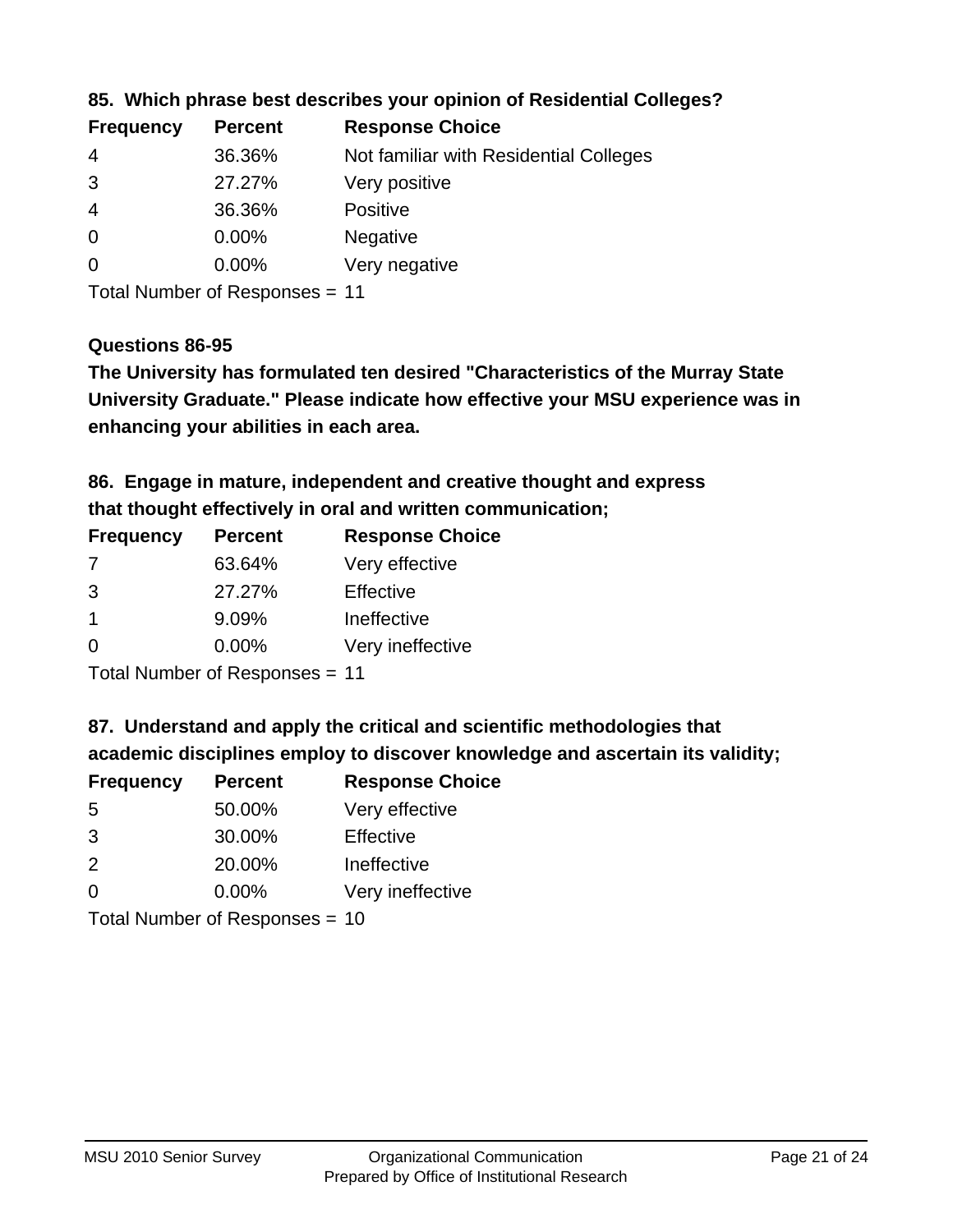| <b>Percent</b> | <b>Response Choice</b>                 |
|----------------|----------------------------------------|
| 36.36%         | Not familiar with Residential Colleges |
| 27.27%         | Very positive                          |
| 36.36%         | <b>Positive</b>                        |
| 0.00%          | <b>Negative</b>                        |
| 0.00%          | Very negative                          |
|                |                                        |

# **85. Which phrase best describes your opinion of Residential Colleges?**

Total Number of Responses = 11

#### **Questions 86-95**

**University Graduate." Please indicate how effective your MSU experience was in The University has formulated ten desired "Characteristics of the Murray State enhancing your abilities in each area.**

**86. Engage in mature, independent and creative thought and express that thought effectively in oral and written communication;**

| <b>Frequency</b> | <b>Percent</b> | <b>Response Choice</b> |
|------------------|----------------|------------------------|
| 7                | 63.64%         | Very effective         |
| 3                | 27.27%         | Effective              |
|                  | 9.09%          | Ineffective            |
| ∩                | $0.00\%$       | Very ineffective       |

Total Number of Responses = 11

**87. Understand and apply the critical and scientific methodologies that** 

**academic disciplines employ to discover knowledge and ascertain its validity;**

| <b>Frequency</b> | <b>Percent</b> | <b>Response Choice</b> |
|------------------|----------------|------------------------|
| 5                | 50.00%         | Very effective         |
| 3                | 30.00%         | Effective              |
| 2                | 20.00%         | Ineffective            |
| $\Omega$         | 0.00%          | Very ineffective       |
|                  |                |                        |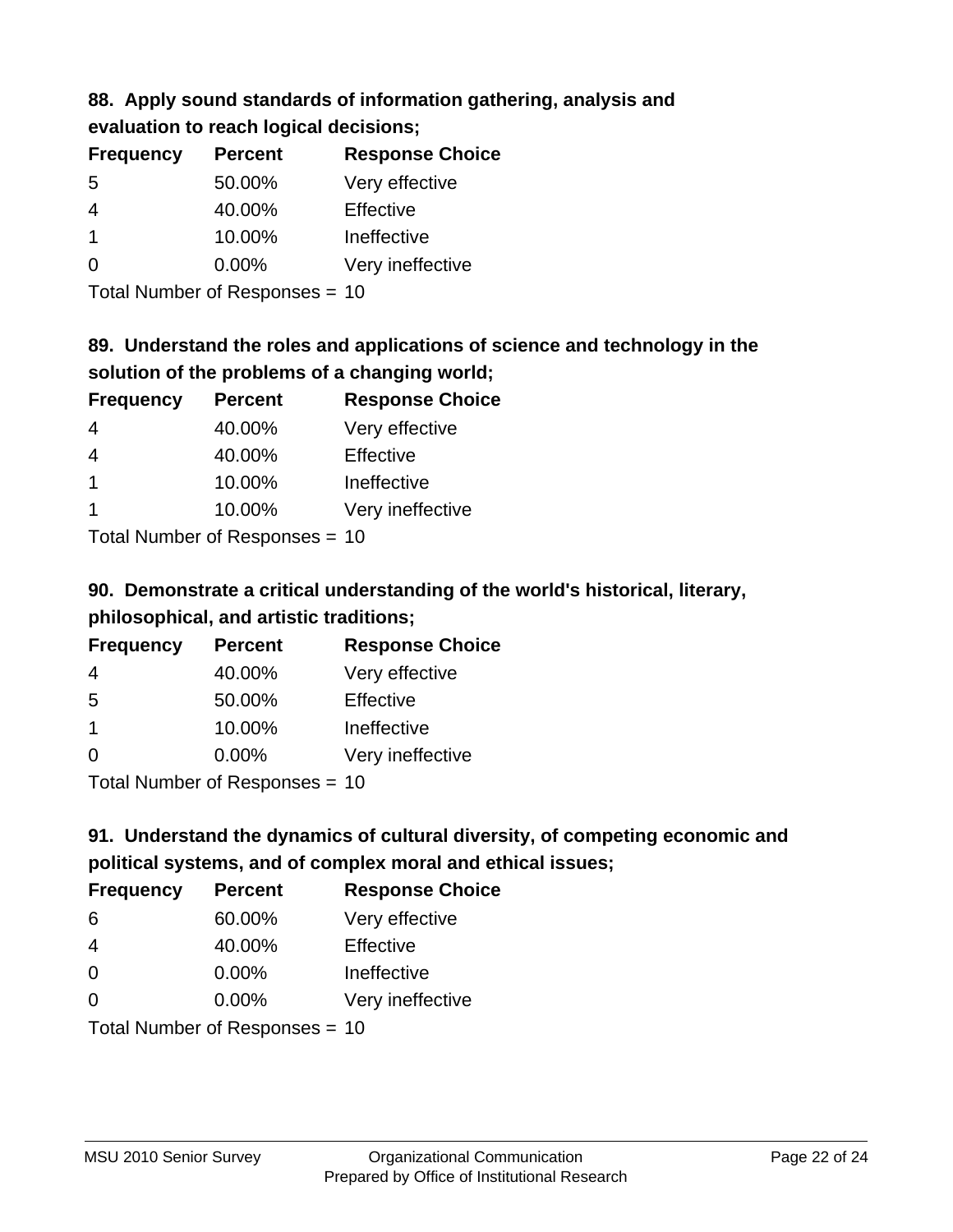# **88. Apply sound standards of information gathering, analysis and evaluation to reach logical decisions;**

| <b>Frequency</b> | <b>Percent</b> | <b>Response Choice</b> |
|------------------|----------------|------------------------|
| 5                | 50.00%         | Very effective         |
| 4                | 40.00%         | Effective              |
|                  | 10.00%         | Ineffective            |
| $\Omega$         | 0.00%          | Very ineffective       |
|                  |                |                        |

Total Number of Responses = 10

# **89. Understand the roles and applications of science and technology in the solution of the problems of a changing world;**

| <b>Frequency</b>                        | <b>Percent</b> | <b>Response Choice</b> |
|-----------------------------------------|----------------|------------------------|
| $\overline{4}$                          | 40.00%         | Very effective         |
| $\overline{4}$                          | 40.00%         | Effective              |
| $\mathbf 1$                             | 10.00%         | Ineffective            |
|                                         | 10.00%         | Very ineffective       |
| $T$ at all Message and $D$ are a second |                |                        |

Total Number of Responses = 10

# **90. Demonstrate a critical understanding of the world's historical, literary, philosophical, and artistic traditions;**

| <b>Frequency</b> | <b>Percent</b> | <b>Response Choice</b> |
|------------------|----------------|------------------------|
| 4                | 40.00%         | Very effective         |
| 5                | 50.00%         | Effective              |
| $\overline{1}$   | 10.00%         | Ineffective            |
| $\Omega$         | 0.00%          | Very ineffective       |
|                  |                |                        |

Total Number of Responses = 10

# **91. Understand the dynamics of cultural diversity, of competing economic and political systems, and of complex moral and ethical issues;**

| <b>Frequency</b> | <b>Percent</b>                 | <b>Response Choice</b> |
|------------------|--------------------------------|------------------------|
| 6                | 60.00%                         | Very effective         |
| $\overline{4}$   | 40.00%                         | Effective              |
| 0                | 0.00%                          | Ineffective            |
| $\Omega$         | 0.00%                          | Very ineffective       |
|                  | Total Number of Responses = 10 |                        |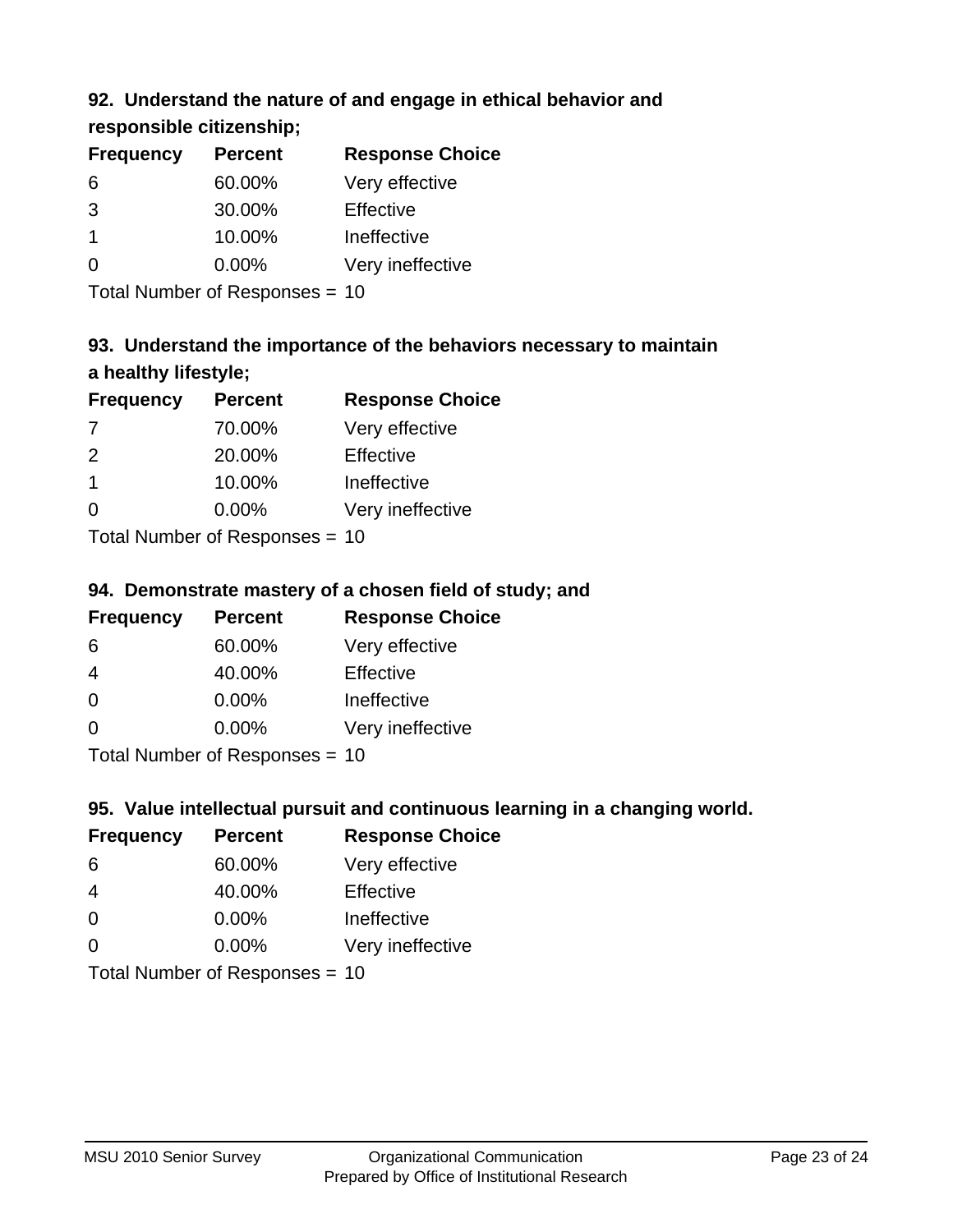# **92. Understand the nature of and engage in ethical behavior and**

# **responsible citizenship;**

| <b>Frequency</b> | <b>Percent</b> | <b>Response Choice</b> |
|------------------|----------------|------------------------|
| 6                | 60.00%         | Very effective         |
| 3                | 30.00%         | Effective              |
| 1                | 10.00%         | Ineffective            |
|                  | $0.00\%$       | Very ineffective       |
|                  |                |                        |

Total Number of Responses = 10

# **93. Understand the importance of the behaviors necessary to maintain a healthy lifestyle;**

| <b>Frequency</b>           | <b>Percent</b> | <b>Response Choice</b> |
|----------------------------|----------------|------------------------|
| 7                          | 70.00%         | Very effective         |
| $\mathcal{P}$              | 20.00%         | Effective              |
| $\mathbf 1$                | 10.00%         | Ineffective            |
| $\Omega$                   | $0.00\%$       | Very ineffective       |
| Tatal Number of Desperance |                |                        |

Total Number of Responses = 10

# **94. Demonstrate mastery of a chosen field of study; and**

| <b>Frequency</b> | <b>Percent</b> | <b>Response Choice</b> |
|------------------|----------------|------------------------|
| 6                | 60.00%         | Very effective         |
| 4                | 40.00%         | Effective              |
| $\Omega$         | 0.00%          | Ineffective            |
| $\Omega$         | 0.00%          | Very ineffective       |
|                  |                |                        |

Total Number of Responses = 10

# **95. Value intellectual pursuit and continuous learning in a changing world.**

| <b>Frequency</b>           | <b>Percent</b> | <b>Response Choice</b> |
|----------------------------|----------------|------------------------|
| 6                          | 60.00%         | Very effective         |
| 4                          | 40.00%         | Effective              |
| $\Omega$                   | 0.00%          | Ineffective            |
| $\Omega$                   | 0.00%          | Very ineffective       |
| Total Number of Denonone – |                |                        |